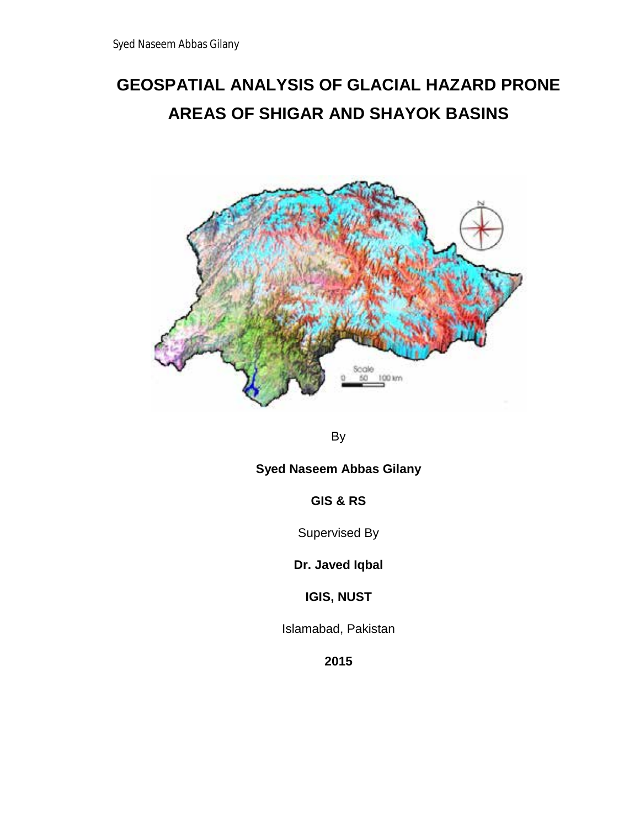# **GEOSPATIAL ANALYSIS OF GLACIAL HAZARD PRONE AREAS OF SHIGAR AND SHAYOK BASINS**



By

# **Syed Naseem Abbas Gilany**

**GIS & RS**

Supervised By

**Dr. Javed Iqbal**

**IGIS, NUST**

Islamabad, Pakistan

**2015**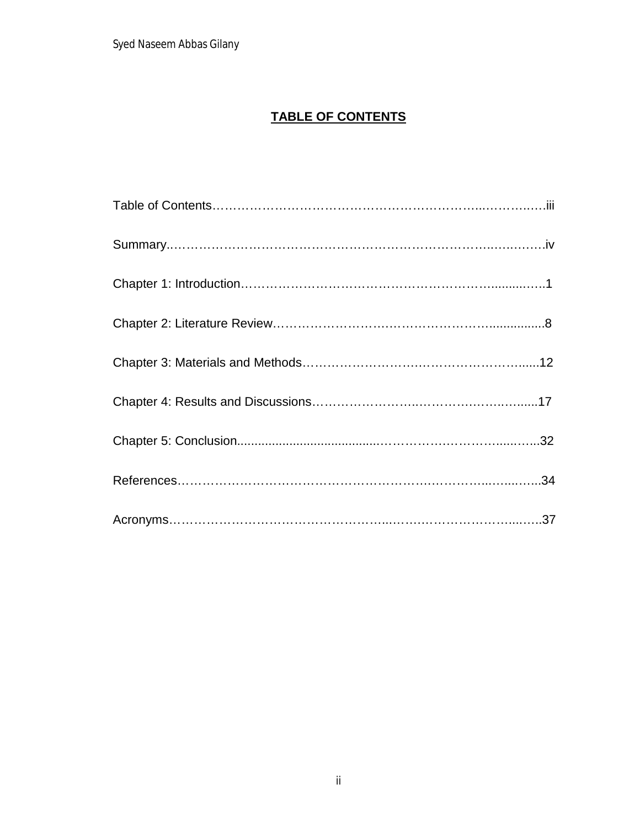# **TABLE OF CONTENTS**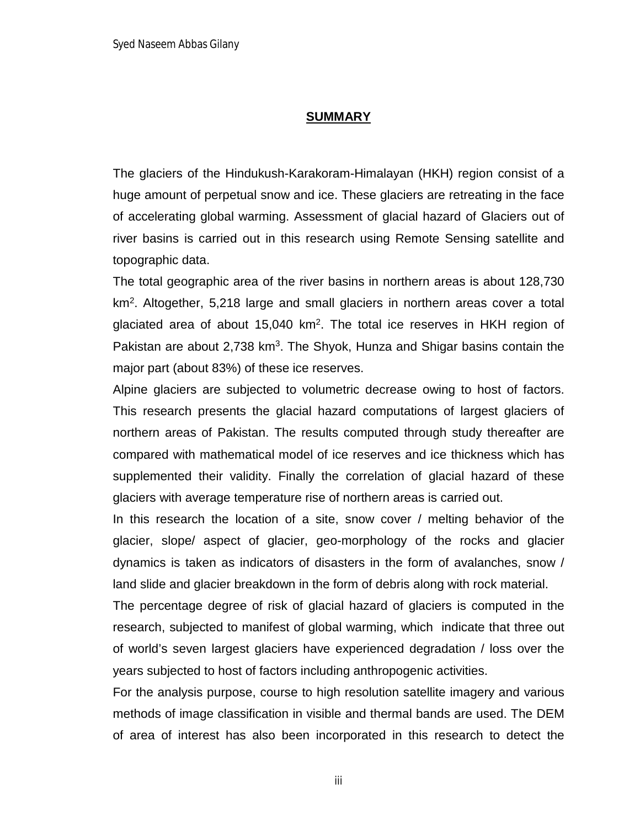#### **SUMMARY**

The glaciers of the Hindukush-Karakoram-Himalayan (HKH) region consist of a huge amount of perpetual snow and ice. These glaciers are retreating in the face of accelerating global warming. Assessment of glacial hazard of Glaciers out of river basins is carried out in this research using Remote Sensing satellite and topographic data.

The total geographic area of the river basins in northern areas is about 128,730 km<sup>2</sup>. Altogether, 5,218 large and small glaciers in northern areas cover a total glaciated area of about 15,040  $km^2$ . The total ice reserves in HKH region of Pakistan are about  $2,738$  km<sup>3</sup>. The Shyok, Hunza and Shigar basins contain the major part (about 83%) of these ice reserves.

Alpine glaciers are subjected to volumetric decrease owing to host of factors. This research presents the glacial hazard computations of largest glaciers of northern areas of Pakistan. The results computed through study thereafter are compared with mathematical model of ice reserves and ice thickness which has supplemented their validity. Finally the correlation of glacial hazard of these glaciers with average temperature rise of northern areas is carried out.

In this research the location of a site, snow cover / melting behavior of the glacier, slope/ aspect of glacier, geo-morphology of the rocks and glacier dynamics is taken as indicators of disasters in the form of avalanches, snow / land slide and glacier breakdown in the form of debris along with rock material.

The percentage degree of risk of glacial hazard of glaciers is computed in the research, subjected to manifest of global warming, which indicate that three out of world's seven largest glaciers have experienced degradation / loss over the years subjected to host of factors including anthropogenic activities.

For the analysis purpose, course to high resolution satellite imagery and various methods of image classification in visible and thermal bands are used. The DEM of area of interest has also been incorporated in this research to detect the

iii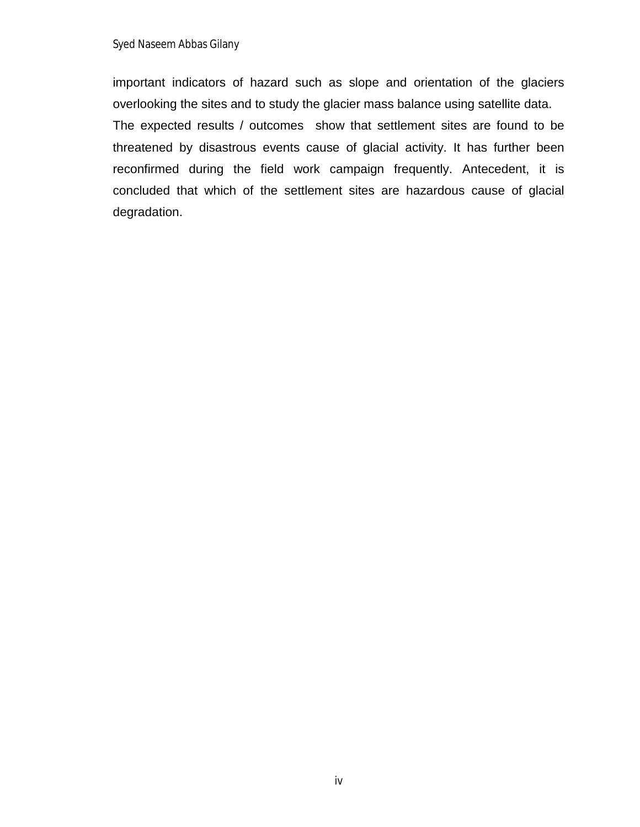important indicators of hazard such as slope and orientation of the glaciers overlooking the sites and to study the glacier mass balance using satellite data. The expected results / outcomes show that settlement sites are found to be threatened by disastrous events cause of glacial activity. It has further been reconfirmed during the field work campaign frequently. Antecedent, it is concluded that which of the settlement sites are hazardous cause of glacial degradation.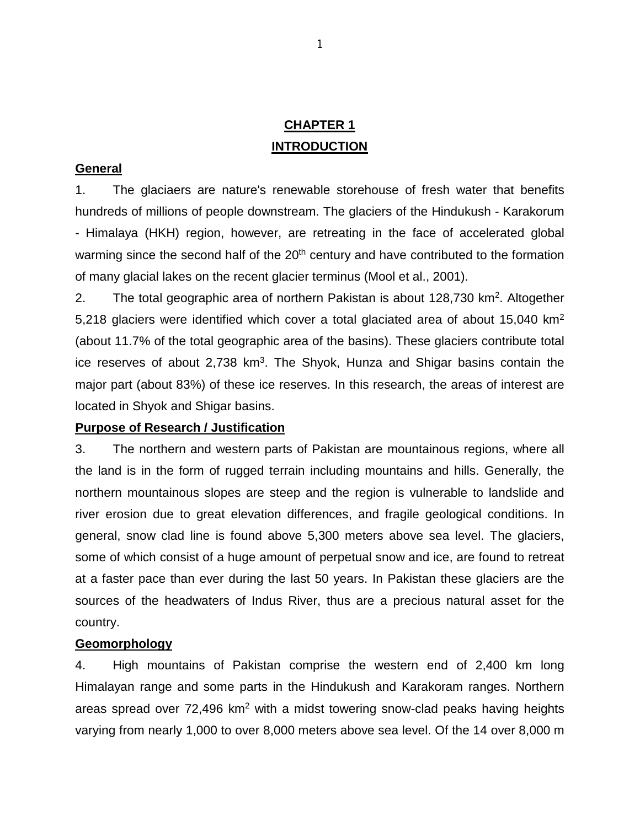# **CHAPTER 1 INTRODUCTION**

#### **General**

1. The glaciaers are nature's renewable storehouse of fresh water that benefits hundreds of millions of people downstream. The glaciers of the Hindukush - Karakorum - Himalaya (HKH) region, however, are retreating in the face of accelerated global warming since the second half of the 20<sup>th</sup> century and have contributed to the formation of many glacial lakes on the recent glacier terminus (Mool et al., 2001).

2. The total geographic area of northern Pakistan is about 128,730 km<sup>2</sup>. Altogether 5,218 glaciers were identified which cover a total glaciated area of about 15,040 km2 (about 11.7% of the total geographic area of the basins). These glaciers contribute total ice reserves of about  $2,738$  km<sup>3</sup>. The Shyok, Hunza and Shigar basins contain the major part (about 83%) of these ice reserves. In this research, the areas of interest are located in Shyok and Shigar basins.

#### **Purpose of Research / Justification**

3. The northern and western parts of Pakistan are mountainous regions, where all the land is in the form of rugged terrain including mountains and hills. Generally, the northern mountainous slopes are steep and the region is vulnerable to landslide and river erosion due to great elevation differences, and fragile geological conditions. In general, snow clad line is found above 5,300 meters above sea level. The glaciers, some of which consist of a huge amount of perpetual snow and ice, are found to retreat at a faster pace than ever during the last 50 years. In Pakistan these glaciers are the sources of the headwaters of Indus River, thus are a precious natural asset for the country.

#### **Geomorphology**

4. High mountains of Pakistan comprise the western end of 2,400 km long Himalayan range and some parts in the Hindukush and Karakoram ranges. Northern areas spread over  $72,496$  km<sup>2</sup> with a midst towering snow-clad peaks having heights varying from nearly 1,000 to over 8,000 meters above sea level. Of the 14 over 8,000 m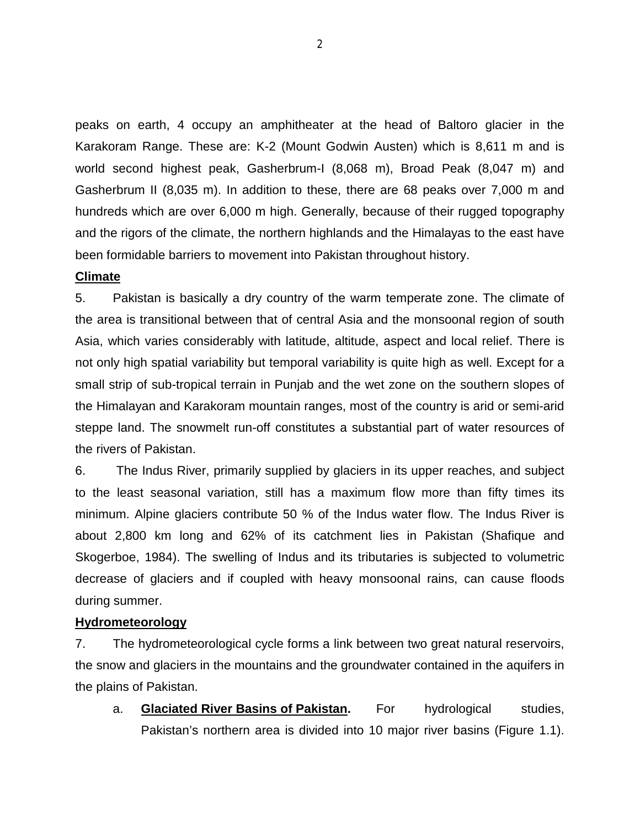peaks on earth, 4 occupy an amphitheater at the head of Baltoro glacier in the Karakoram Range. These are: K-2 (Mount Godwin Austen) which is 8,611 m and is world second highest peak, Gasherbrum-I (8,068 m), Broad Peak (8,047 m) and Gasherbrum II (8,035 m). In addition to these, there are 68 peaks over 7,000 m and hundreds which are over 6,000 m high. Generally, because of their rugged topography and the rigors of the climate, the northern highlands and the Himalayas to the east have been formidable barriers to movement into Pakistan throughout history.

#### **Climate**

5. Pakistan is basically a dry country of the warm temperate zone. The climate of the area is transitional between that of central Asia and the monsoonal region of south Asia, which varies considerably with latitude, altitude, aspect and local relief. There is not only high spatial variability but temporal variability is quite high as well. Except for a small strip of sub-tropical terrain in Punjab and the wet zone on the southern slopes of the Himalayan and Karakoram mountain ranges, most of the country is arid or semi-arid steppe land. The snowmelt run-off constitutes a substantial part of water resources of the rivers of Pakistan.

6. The Indus River, primarily supplied by glaciers in its upper reaches, and subject to the least seasonal variation, still has a maximum flow more than fifty times its minimum. Alpine glaciers contribute 50 % of the Indus water flow. The Indus River is about 2,800 km long and 62% of its catchment lies in Pakistan (Shafique and Skogerboe, 1984). The swelling of Indus and its tributaries is subjected to volumetric decrease of glaciers and if coupled with heavy monsoonal rains, can cause floods during summer.

#### **Hydrometeorology**

7. The hydrometeorological cycle forms a link between two great natural reservoirs, the snow and glaciers in the mountains and the groundwater contained in the aquifers in the plains of Pakistan.

a. **Glaciated River Basins of Pakistan.** For hydrological studies, Pakistan's northern area is divided into 10 major river basins (Figure 1.1).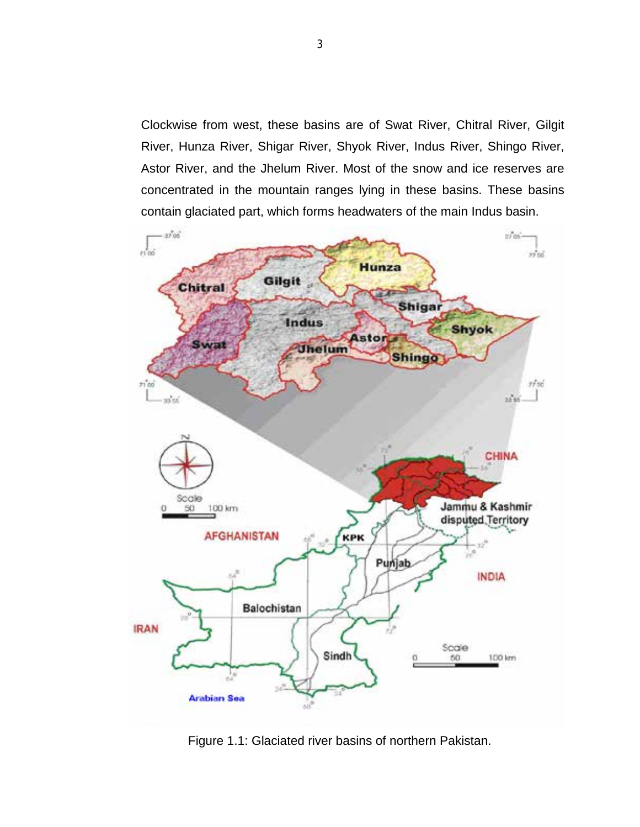Clockwise from west, these basins are of Swat River, Chitral River, Gilgit River, Hunza River, Shigar River, Shyok River, Indus River, Shingo River, Astor River, and the Jhelum River. Most of the snow and ice reserves are concentrated in the mountain ranges lying in these basins. These basins contain glaciated part, which forms headwaters of the main Indus basin.



Figure 1.1: Glaciated river basins of northern Pakistan.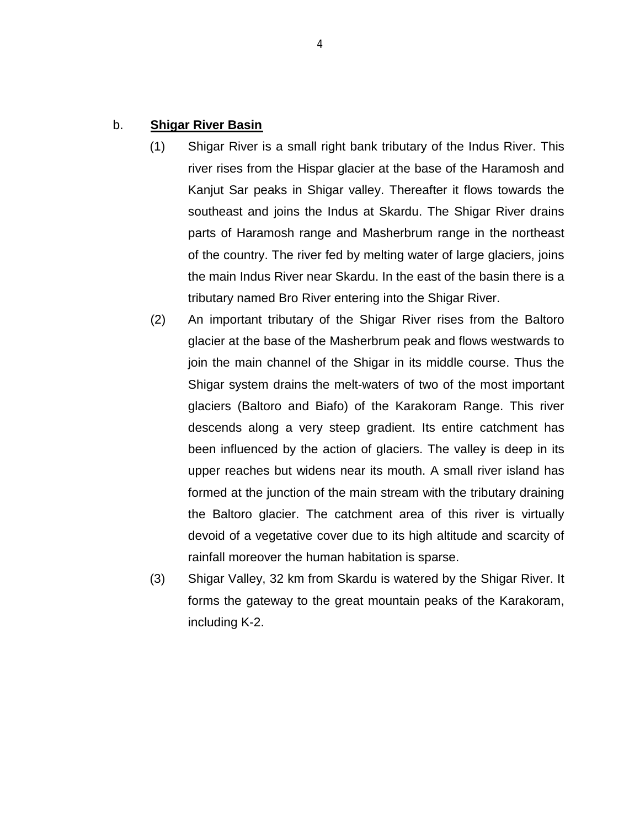#### b. **Shigar River Basin**

- (1) Shigar River is a small right bank tributary of the Indus River. This river rises from the Hispar glacier at the base of the Haramosh and Kanjut Sar peaks in Shigar valley. Thereafter it flows towards the southeast and joins the Indus at Skardu. The Shigar River drains parts of Haramosh range and Masherbrum range in the northeast of the country. The river fed by melting water of large glaciers, joins the main Indus River near Skardu. In the east of the basin there is a tributary named Bro River entering into the Shigar River.
- (2) An important tributary of the Shigar River rises from the Baltoro glacier at the base of the Masherbrum peak and flows westwards to join the main channel of the Shigar in its middle course. Thus the Shigar system drains the melt-waters of two of the most important glaciers (Baltoro and Biafo) of the Karakoram Range. This river descends along a very steep gradient. Its entire catchment has been influenced by the action of glaciers. The valley is deep in its upper reaches but widens near its mouth. A small river island has formed at the junction of the main stream with the tributary draining the Baltoro glacier. The catchment area of this river is virtually devoid of a vegetative cover due to its high altitude and scarcity of rainfall moreover the human habitation is sparse.
- (3) Shigar Valley, 32 km from Skardu is watered by the Shigar River. It forms the gateway to the great mountain peaks of the Karakoram, including K-2.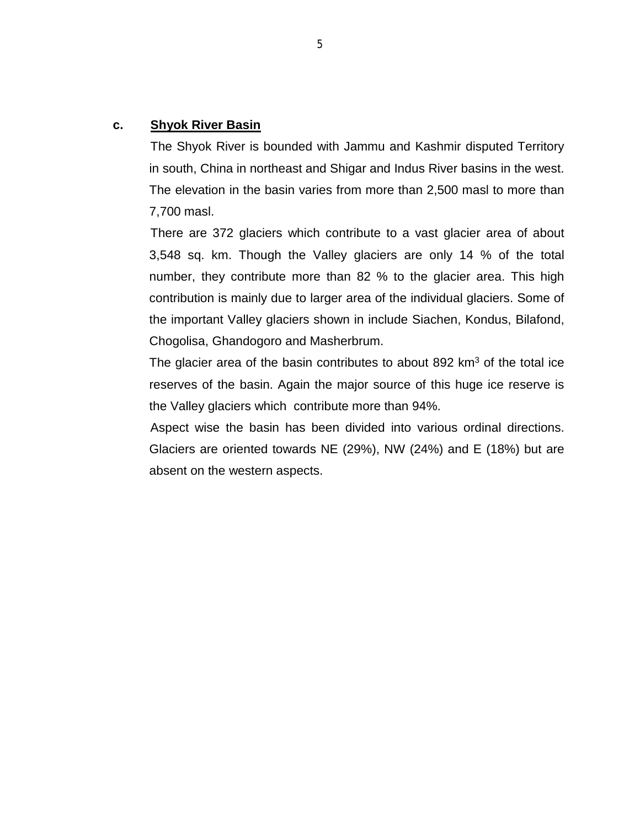#### **c. Shyok River Basin**

The Shyok River is bounded with Jammu and Kashmir disputed Territory in south, China in northeast and Shigar and Indus River basins in the west. The elevation in the basin varies from more than 2,500 masl to more than 7,700 masl.

There are 372 glaciers which contribute to a vast glacier area of about 3,548 sq. km. Though the Valley glaciers are only 14 % of the total number, they contribute more than 82 % to the glacier area. This high contribution is mainly due to larger area of the individual glaciers. Some of the important Valley glaciers shown in include Siachen, Kondus, Bilafond, Chogolisa, Ghandogoro and Masherbrum.

The glacier area of the basin contributes to about 892  $km<sup>3</sup>$  of the total ice reserves of the basin. Again the major source of this huge ice reserve is the Valley glaciers which contribute more than 94%.

Aspect wise the basin has been divided into various ordinal directions. Glaciers are oriented towards NE (29%), NW (24%) and E (18%) but are absent on the western aspects.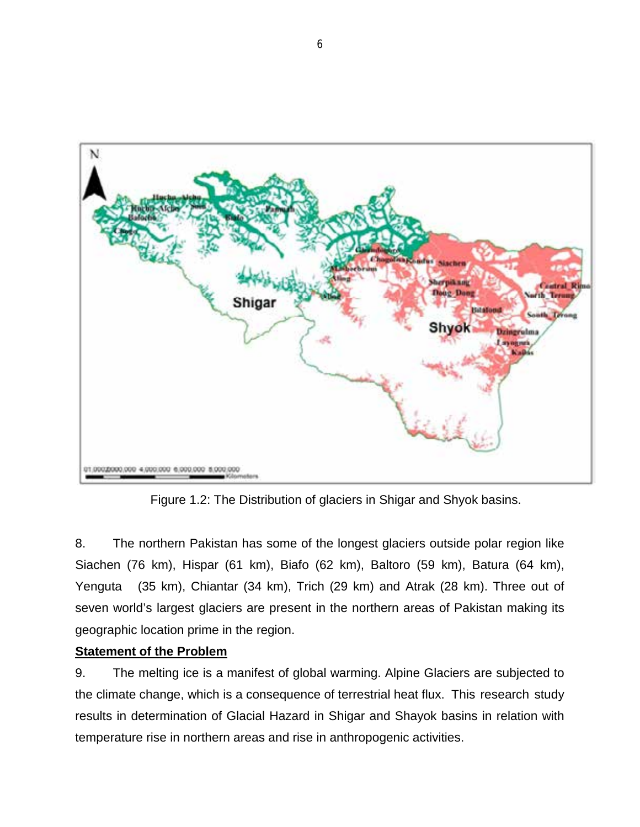

Figure 1.2: The Distribution of glaciers in Shigar and Shyok basins.

8. The northern Pakistan has some of the longest glaciers outside polar region like Siachen (76 km), Hispar (61 km), Biafo (62 km), Baltoro (59 km), Batura (64 km), Yenguta (35 km), Chiantar (34 km), Trich (29 km) and Atrak (28 km). Three out of seven world's largest glaciers are present in the northern areas of Pakistan making its geographic location prime in the region.

### **Statement of the Problem**

9. The melting ice is a manifest of global warming. Alpine Glaciers are subjected to the climate change, which is a consequence of terrestrial heat flux. This research study results in determination of Glacial Hazard in Shigar and Shayok basins in relation with temperature rise in northern areas and rise in anthropogenic activities.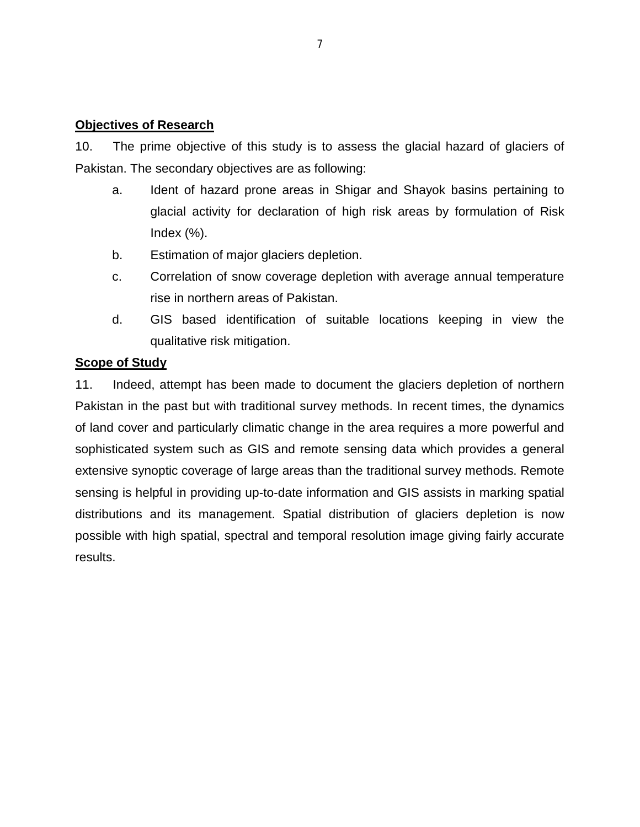#### **Objectives of Research**

10. The prime objective of this study is to assess the glacial hazard of glaciers of Pakistan. The secondary objectives are as following:

- a. Ident of hazard prone areas in Shigar and Shayok basins pertaining to glacial activity for declaration of high risk areas by formulation of Risk Index  $(\%)$ .
- b. Estimation of major glaciers depletion.
- c. Correlation of snow coverage depletion with average annual temperature rise in northern areas of Pakistan.
- d. GIS based identification of suitable locations keeping in view the qualitative risk mitigation.

#### **Scope of Study**

11. Indeed, attempt has been made to document the glaciers depletion of northern Pakistan in the past but with traditional survey methods. In recent times, the dynamics of land cover and particularly climatic change in the area requires a more powerful and sophisticated system such as GIS and remote sensing data which provides a general extensive synoptic coverage of large areas than the traditional survey methods. Remote sensing is helpful in providing up-to-date information and GIS assists in marking spatial distributions and its management. Spatial distribution of glaciers depletion is now possible with high spatial, spectral and temporal resolution image giving fairly accurate results.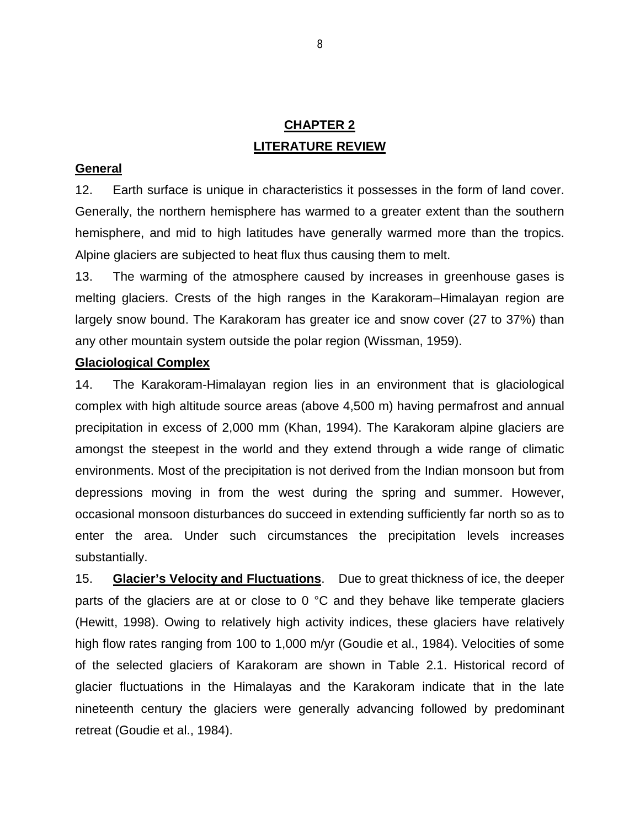# **CHAPTER 2 LITERATURE REVIEW**

#### **General**

12. Earth surface is unique in characteristics it possesses in the form of land cover. Generally, the northern hemisphere has warmed to a greater extent than the southern hemisphere, and mid to high latitudes have generally warmed more than the tropics. Alpine glaciers are subjected to heat flux thus causing them to melt.

13. The warming of the atmosphere caused by increases in greenhouse gases is melting glaciers. Crests of the high ranges in the Karakoram–Himalayan region are largely snow bound. The Karakoram has greater ice and snow cover (27 to 37%) than any other mountain system outside the polar region (Wissman, 1959).

#### **Glaciological Complex**

14. The Karakoram-Himalayan region lies in an environment that is glaciological complex with high altitude source areas (above 4,500 m) having permafrost and annual precipitation in excess of 2,000 mm (Khan, 1994). The Karakoram alpine glaciers are amongst the steepest in the world and they extend through a wide range of climatic environments. Most of the precipitation is not derived from the Indian monsoon but from depressions moving in from the west during the spring and summer. However, occasional monsoon disturbances do succeed in extending sufficiently far north so as to enter the area. Under such circumstances the precipitation levels increases substantially.

15. **Glacier's Velocity and Fluctuations**. Due to great thickness of ice, the deeper parts of the glaciers are at or close to  $0^{\circ}$ C and they behave like temperate glaciers (Hewitt, 1998). Owing to relatively high activity indices, these glaciers have relatively high flow rates ranging from 100 to 1,000 m/yr (Goudie et al., 1984). Velocities of some of the selected glaciers of Karakoram are shown in Table 2.1. Historical record of glacier fluctuations in the Himalayas and the Karakoram indicate that in the late nineteenth century the glaciers were generally advancing followed by predominant retreat (Goudie et al., 1984).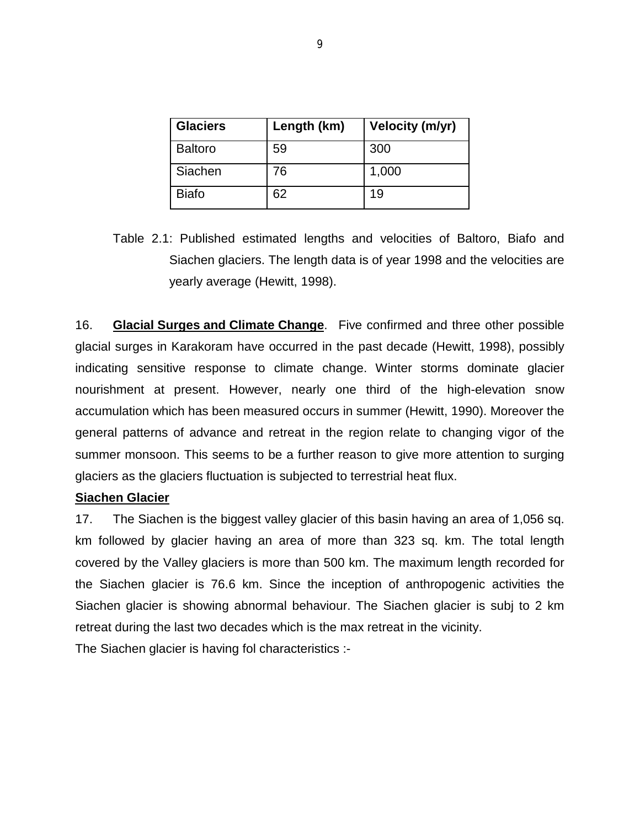| <b>Glaciers</b> | Length (km) | <b>Velocity (m/yr)</b> |
|-----------------|-------------|------------------------|
| <b>Baltoro</b>  | 59          | 300                    |
| Siachen         | 76          | 1,000                  |
| <b>Biafo</b>    | 62          | 19                     |

Table 2.1: Published estimated lengths and velocities of Baltoro, Biafo and Siachen glaciers. The length data is of year 1998 and the velocities are yearly average (Hewitt, 1998).

16. **Glacial Surges and Climate Change**. Five confirmed and three other possible glacial surges in Karakoram have occurred in the past decade (Hewitt, 1998), possibly indicating sensitive response to climate change. Winter storms dominate glacier nourishment at present. However, nearly one third of the high-elevation snow accumulation which has been measured occurs in summer (Hewitt, 1990). Moreover the general patterns of advance and retreat in the region relate to changing vigor of the summer monsoon. This seems to be a further reason to give more attention to surging glaciers as the glaciers fluctuation is subjected to terrestrial heat flux.

#### **Siachen Glacier**

17. The Siachen is the biggest valley glacier of this basin having an area of 1,056 sq. km followed by glacier having an area of more than 323 sq. km. The total length covered by the Valley glaciers is more than 500 km. The maximum length recorded for the Siachen glacier is 76.6 km. Since the inception of anthropogenic activities the Siachen glacier is showing abnormal behaviour. The Siachen glacier is subj to 2 km retreat during the last two decades which is the max retreat in the vicinity.

The Siachen glacier is having fol characteristics :-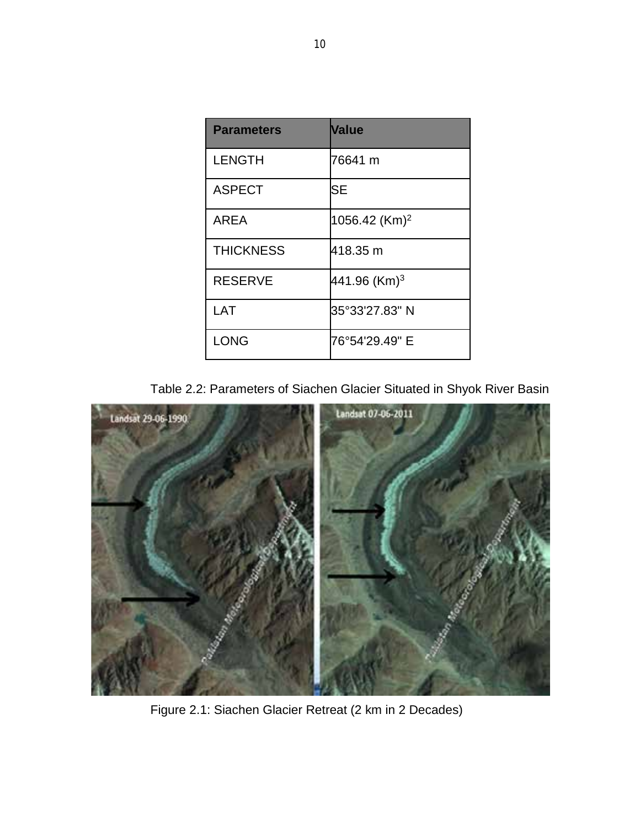| <b>Parameters</b> | <b>Value</b>              |
|-------------------|---------------------------|
| <b>LENGTH</b>     | 76641 m                   |
| <b>ASPECT</b>     | SE                        |
| <b>AREA</b>       | 1056.42 (Km) <sup>2</sup> |
| <b>THICKNESS</b>  | 418.35 m                  |
| <b>RESERVE</b>    | 441.96 (Km) <sup>3</sup>  |
| LAT               | 35°33'27.83" N            |
| <b>LONG</b>       | 76°54'29.49" E            |

Table 2.2: Parameters of Siachen Glacier Situated in Shyok River Basin



Figure 2.1: Siachen Glacier Retreat (2 km in 2 Decades)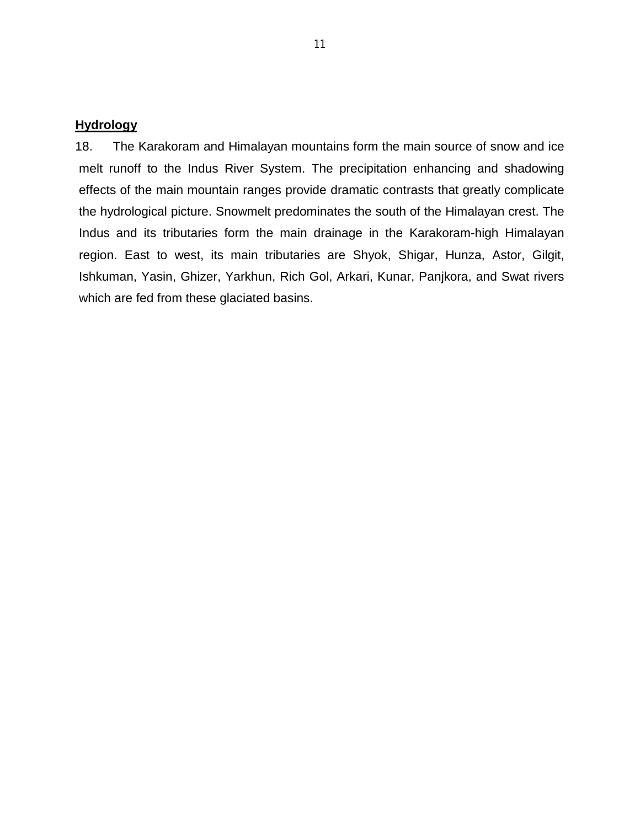#### **Hydrology**

18. The Karakoram and Himalayan mountains form the main source of snow and ice melt runoff to the Indus River System. The precipitation enhancing and shadowing effects of the main mountain ranges provide dramatic contrasts that greatly complicate the hydrological picture. Snowmelt predominates the south of the Himalayan crest. The Indus and its tributaries form the main drainage in the Karakoram-high Himalayan region. East to west, its main tributaries are Shyok, Shigar, Hunza, Astor, Gilgit, Ishkuman, Yasin, Ghizer, Yarkhun, Rich Gol, Arkari, Kunar, Panjkora, and Swat rivers which are fed from these glaciated basins.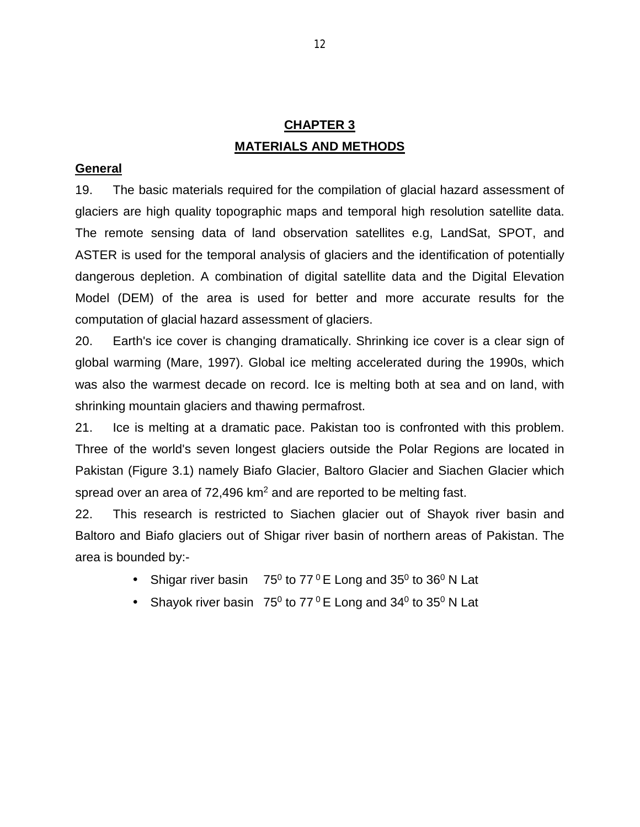# **CHAPTER 3 MATERIALS AND METHODS**

#### **General**

19. The basic materials required for the compilation of glacial hazard assessment of glaciers are high quality topographic maps and temporal high resolution satellite data. The remote sensing data of land observation satellites e.g, LandSat, SPOT, and ASTER is used for the temporal analysis of glaciers and the identification of potentially dangerous depletion. A combination of digital satellite data and the Digital Elevation Model (DEM) of the area is used for better and more accurate results for the computation of glacial hazard assessment of glaciers.

20. Earth's ice cover is changing dramatically. Shrinking ice cover is a clear sign of global warming (Mare, 1997). Global ice melting accelerated during the 1990s, which was also the warmest decade on record. Ice is melting both at sea and on land, with shrinking mountain glaciers and thawing permafrost.

21. Ice is melting at a dramatic pace. Pakistan too is confronted with this problem. Three of the world's seven longest glaciers outside the Polar Regions are located in Pakistan (Figure 3.1) namely Biafo Glacier, Baltoro Glacier and Siachen Glacier which spread over an area of  $72,496$  km<sup>2</sup> and are reported to be melting fast.

22. This research is restricted to Siachen glacier out of Shayok river basin and Baltoro and Biafo glaciers out of Shigar river basin of northern areas of Pakistan. The area is bounded by:-

- Shigar river basin  $75^0$  to 77  $^0$  E Long and 35 $^0$  to 36 $^0$  N Lat  $\mathcal{L}^{\text{max}}$
- Shayok river basin  $75^0$  to  $77^0$  E Long and 34<sup>0</sup> to 35<sup>0</sup> N Lat  $\mathcal{L}^{\text{max}}$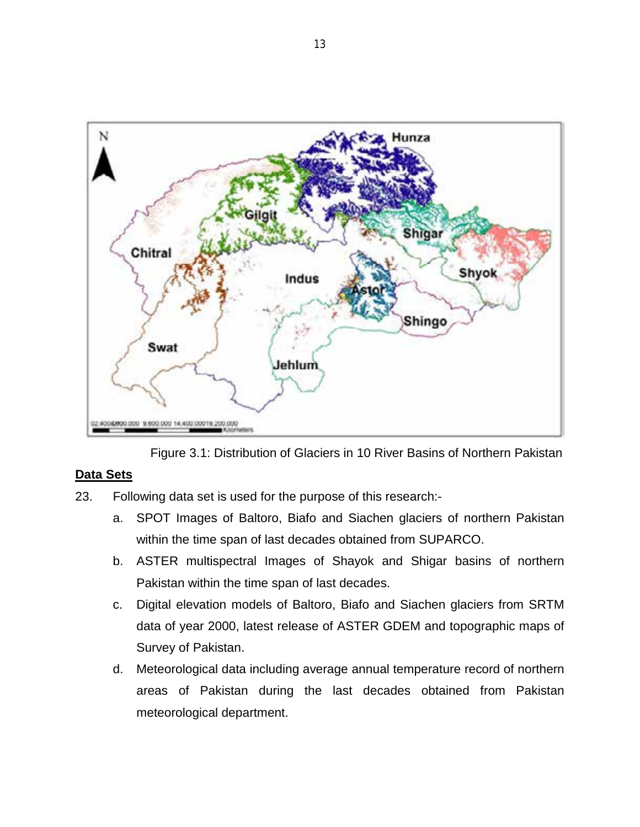

Figure 3.1: Distribution of Glaciers in 10 River Basins of Northern Pakistan

### **Data Sets**

- 23. Following data set is used for the purpose of this research:
	- a. SPOT Images of Baltoro, Biafo and Siachen glaciers of northern Pakistan within the time span of last decades obtained from SUPARCO.
	- b. ASTER multispectral Images of Shayok and Shigar basins of northern Pakistan within the time span of last decades.
	- c. Digital elevation models of Baltoro, Biafo and Siachen glaciers from SRTM data of year 2000, latest release of ASTER GDEM and topographic maps of Survey of Pakistan.
	- d. Meteorological data including average annual temperature record of northern areas of Pakistan during the last decades obtained from Pakistan meteorological department.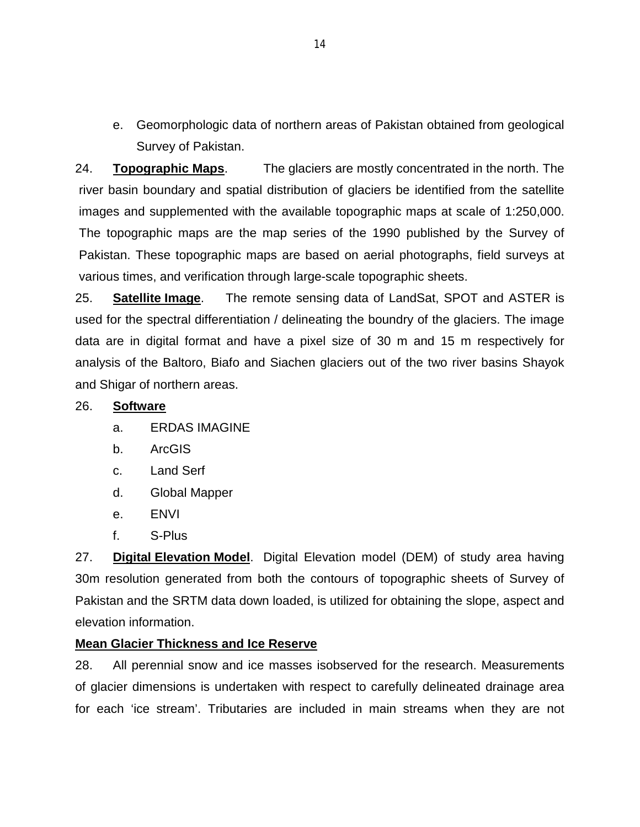e. Geomorphologic data of northern areas of Pakistan obtained from geological Survey of Pakistan.

24. **Topographic Maps**. The glaciers are mostly concentrated in the north. The river basin boundary and spatial distribution of glaciers be identified from the satellite images and supplemented with the available topographic maps at scale of 1:250,000. The topographic maps are the map series of the 1990 published by the Survey of Pakistan. These topographic maps are based on aerial photographs, field surveys at various times, and verification through large-scale topographic sheets.

25. **Satellite Image**. The remote sensing data of LandSat, SPOT and ASTER is used for the spectral differentiation / delineating the boundry of the glaciers. The image data are in digital format and have a pixel size of 30 m and 15 m respectively for analysis of the Baltoro, Biafo and Siachen glaciers out of the two river basins Shayok and Shigar of northern areas.

#### 26. **Software**

- a. ERDAS IMAGINE
- b. ArcGIS
- c. Land Serf
- d. Global Mapper
- e. ENVI
- f. S-Plus

27. **Digital Elevation Model**. Digital Elevation model (DEM) of study area having 30m resolution generated from both the contours of topographic sheets of Survey of Pakistan and the SRTM data down loaded, is utilized for obtaining the slope, aspect and elevation information.

#### **Mean Glacier Thickness and Ice Reserve**

28. All perennial snow and ice masses isobserved for the research. Measurements of glacier dimensions is undertaken with respect to carefully delineated drainage area for each 'ice stream'. Tributaries are included in main streams when they are not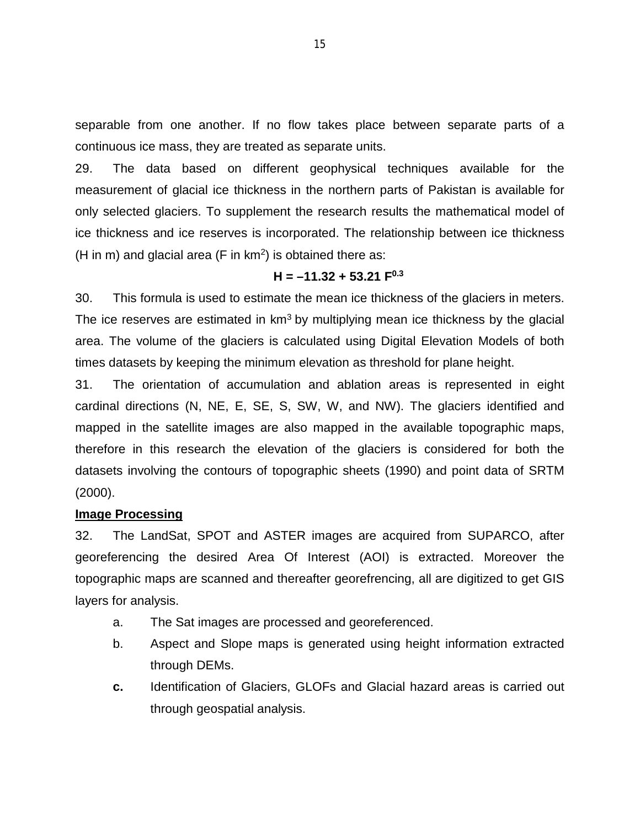separable from one another. If no flow takes place between separate parts of a continuous ice mass, they are treated as separate units.

29. The data based on different geophysical techniques available for the measurement of glacial ice thickness in the northern parts of Pakistan is available for only selected glaciers. To supplement the research results the mathematical model of ice thickness and ice reserves is incorporated. The relationship between ice thickness (H in m) and glacial area (F in  $km^2$ ) is obtained there as:

#### $H = -11.32 + 53.21$   $F<sup>0.3</sup>$

30. This formula is used to estimate the mean ice thickness of the glaciers in meters. The ice reserves are estimated in  $km<sup>3</sup>$  by multiplying mean ice thickness by the glacial area. The volume of the glaciers is calculated using Digital Elevation Models of both times datasets by keeping the minimum elevation as threshold for plane height.

31. The orientation of accumulation and ablation areas is represented in eight cardinal directions (N, NE, E, SE, S, SW, W, and NW). The glaciers identified and mapped in the satellite images are also mapped in the available topographic maps, therefore in this research the elevation of the glaciers is considered for both the datasets involving the contours of topographic sheets (1990) and point data of SRTM (2000).

#### **Image Processing**

32. The LandSat, SPOT and ASTER images are acquired from SUPARCO, after georeferencing the desired Area Of Interest (AOI) is extracted. Moreover the topographic maps are scanned and thereafter georefrencing, all are digitized to get GIS layers for analysis.

- a. The Sat images are processed and georeferenced.
- b. Aspect and Slope maps is generated using height information extracted through DEMs.
- **c.** Identification of Glaciers, GLOFs and Glacial hazard areas is carried out through geospatial analysis.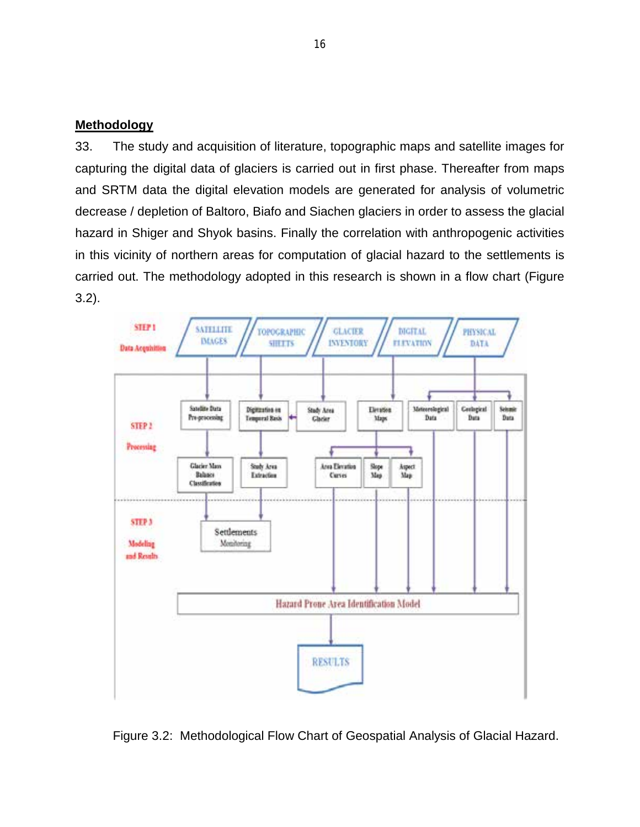#### **Methodology**

33. The study and acquisition of literature, topographic maps and satellite images for capturing the digital data of glaciers is carried out in first phase. Thereafter from maps and SRTM data the digital elevation models are generated for analysis of volumetric decrease / depletion of Baltoro, Biafo and Siachen glaciers in order to assess the glacial hazard in Shiger and Shyok basins. Finally the correlation with anthropogenic activities in this vicinity of northern areas for computation of glacial hazard to the settlements is carried out. The methodology adopted in this research is shown in a flow chart (Figure 3.2).



Figure 3.2: Methodological Flow Chart of Geospatial Analysis of Glacial Hazard.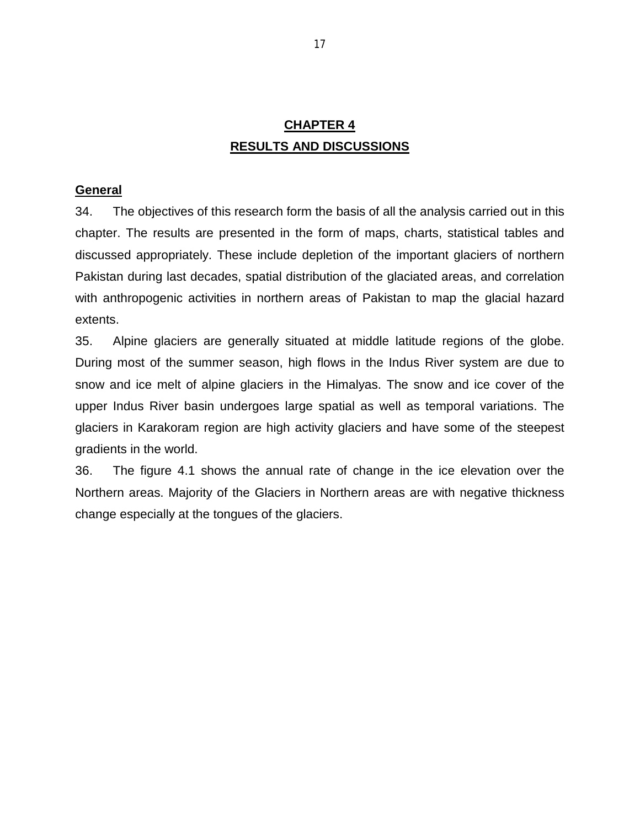# **CHAPTER 4 RESULTS AND DISCUSSIONS**

#### **General**

34. The objectives of this research form the basis of all the analysis carried out in this chapter. The results are presented in the form of maps, charts, statistical tables and discussed appropriately. These include depletion of the important glaciers of northern Pakistan during last decades, spatial distribution of the glaciated areas, and correlation with anthropogenic activities in northern areas of Pakistan to map the glacial hazard extents.

35. Alpine glaciers are generally situated at middle latitude regions of the globe. During most of the summer season, high flows in the Indus River system are due to snow and ice melt of alpine glaciers in the Himalyas. The snow and ice cover of the upper Indus River basin undergoes large spatial as well as temporal variations. The glaciers in Karakoram region are high activity glaciers and have some of the steepest gradients in the world.

36. The figure 4.1 shows the annual rate of change in the ice elevation over the Northern areas. Majority of the Glaciers in Northern areas are with negative thickness change especially at the tongues of the glaciers.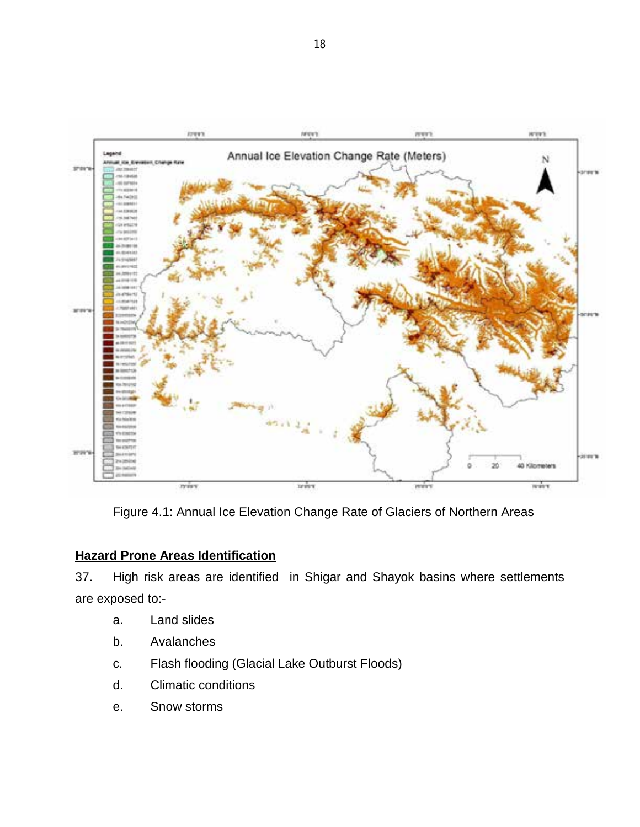

Figure 4.1: Annual Ice Elevation Change Rate of Glaciers of Northern Areas

### **Hazard Prone Areas Identification**

37. High risk areas are identified in Shigar and Shayok basins where settlements are exposed to:-

- a. Land slides
- b. Avalanches
- c. Flash flooding (Glacial Lake Outburst Floods)
- d. Climatic conditions
- e. Snow storms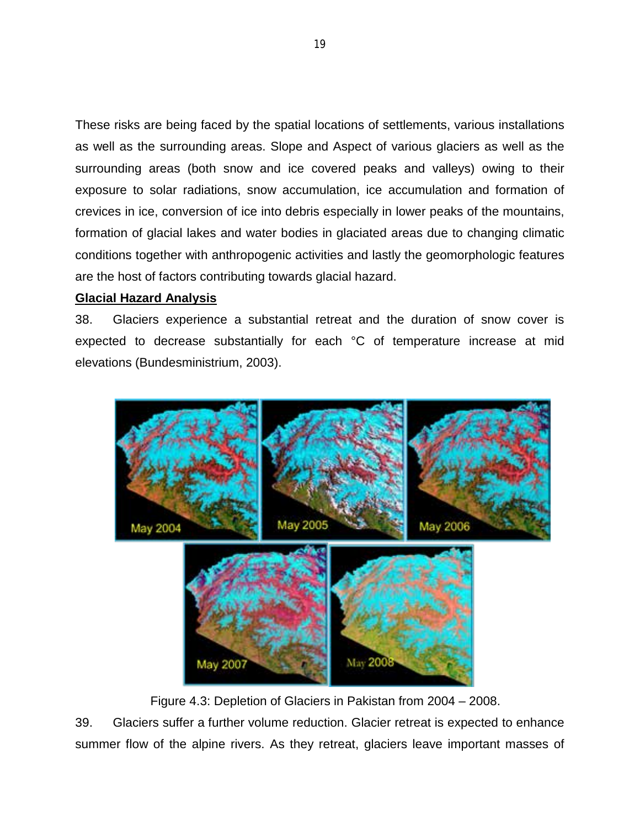These risks are being faced by the spatial locations of settlements, various installations as well as the surrounding areas. Slope and Aspect of various glaciers as well as the surrounding areas (both snow and ice covered peaks and valleys) owing to their exposure to solar radiations, snow accumulation, ice accumulation and formation of crevices in ice, conversion of ice into debris especially in lower peaks of the mountains, formation of glacial lakes and water bodies in glaciated areas due to changing climatic conditions together with anthropogenic activities and lastly the geomorphologic features are the host of factors contributing towards glacial hazard.

#### **Glacial Hazard Analysis**

38. Glaciers experience a substantial retreat and the duration of snow cover is expected to decrease substantially for each °C of temperature increase at mid elevations [\(Bundesministrium, 2003\).](http://alpsknowhow.cipra.org/background_topics/climate/climate_furtherreadings.html%23bmbf_2003)



Figure 4.3: Depletion of Glaciers in Pakistan from 2004 – 2008.

39. Glaciers suffer a further volume reduction. Glacier retreat is expected to enhance summer flow of the alpine rivers. As they retreat, glaciers leave important masses of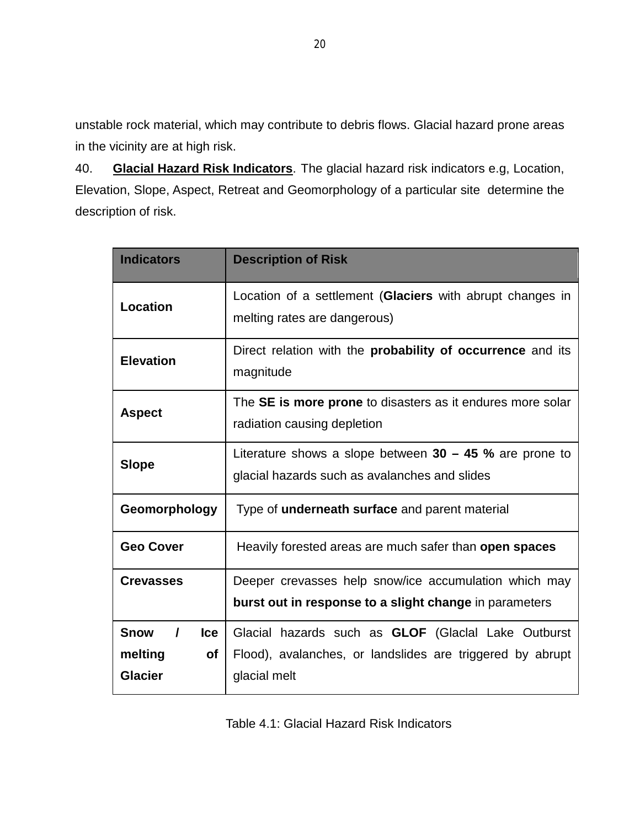unstable rock material, which may contribute to debris flows. Glacial hazard prone areas in the vicinity are at high risk.

40. **Glacial Hazard Risk Indicators**. The glacial hazard risk indicators e.g, Location, Elevation, Slope, Aspect, Retreat and Geomorphology of a particular site determine the description of risk.

| <b>Indicators</b>                                                                                                          | <b>Description of Risk</b>                                                                                                              |  |  |  |
|----------------------------------------------------------------------------------------------------------------------------|-----------------------------------------------------------------------------------------------------------------------------------------|--|--|--|
| Location                                                                                                                   | Location of a settlement (Glaciers with abrupt changes in<br>melting rates are dangerous)                                               |  |  |  |
| <b>Elevation</b>                                                                                                           | Direct relation with the <b>probability of occurrence</b> and its<br>magnitude                                                          |  |  |  |
| The SE is more prone to disasters as it endures more solar<br><b>Aspect</b><br>radiation causing depletion                 |                                                                                                                                         |  |  |  |
| Literature shows a slope between $30 - 45$ % are prone to<br><b>Slope</b><br>glacial hazards such as avalanches and slides |                                                                                                                                         |  |  |  |
| Geomorphology                                                                                                              | Type of <b>underneath surface</b> and parent material                                                                                   |  |  |  |
| <b>Geo Cover</b>                                                                                                           | Heavily forested areas are much safer than open spaces                                                                                  |  |  |  |
| <b>Crevasses</b>                                                                                                           | Deeper crevasses help snow/ice accumulation which may<br>burst out in response to a slight change in parameters                         |  |  |  |
| <b>Snow</b><br><b>Ice</b><br>$\prime$<br>melting<br><b>of</b><br><b>Glacier</b>                                            | Glacial hazards such as <b>GLOF</b> (Glacial Lake Outburst<br>Flood), avalanches, or landslides are triggered by abrupt<br>glacial melt |  |  |  |

Table 4.1: Glacial Hazard Risk Indicators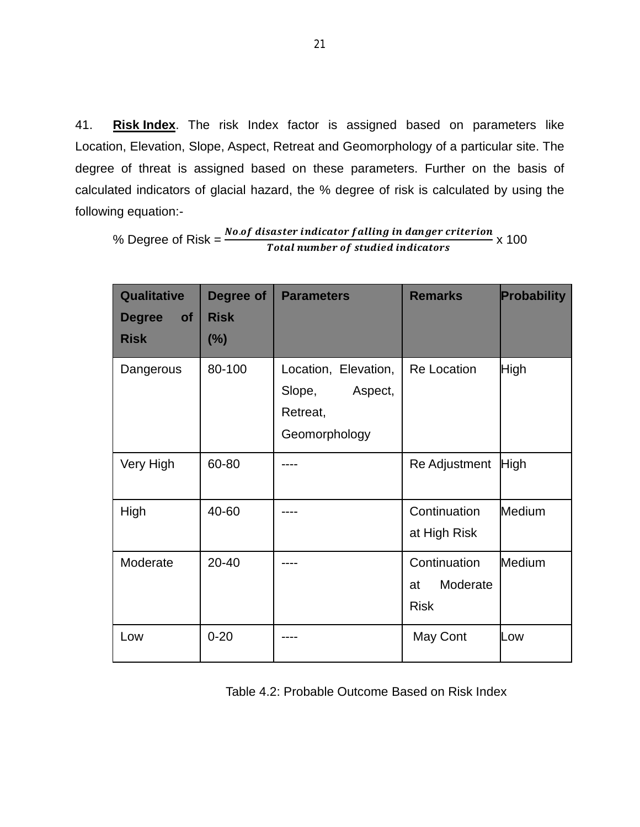41. **Risk Index**. The risk Index factor is assigned based on parameters like Location, Elevation, Slope, Aspect, Retreat and Geomorphology of a particular site. The degree of threat is assigned based on these parameters. Further on the basis of calculated indicators of glacial hazard, the % degree of risk is calculated by using the following equation:-

% Degree of Risk = . Total number of studied indic x 100

| Qualitative<br><b>Degree</b><br><b>of</b><br><b>Risk</b> | Degree of<br><b>Risk</b><br>(%) | <b>Parameters</b>                                                      | <b>Remarks</b>                                | Probability   |
|----------------------------------------------------------|---------------------------------|------------------------------------------------------------------------|-----------------------------------------------|---------------|
| Dangerous                                                | 80-100                          | Location, Elevation,<br>Aspect,<br>Slope,<br>Retreat,<br>Geomorphology | <b>Re Location</b>                            | High          |
| Very High                                                | 60-80                           |                                                                        | Re Adjustment                                 | <b>High</b>   |
| High                                                     | 40-60                           |                                                                        | Continuation<br>at High Risk                  | <b>Medium</b> |
| Moderate                                                 | 20-40                           |                                                                        | Continuation<br>Moderate<br>at<br><b>Risk</b> | Medium        |
| Low                                                      | $0 - 20$                        |                                                                        | May Cont                                      | Low           |

Table 4.2: Probable Outcome Based on Risk Index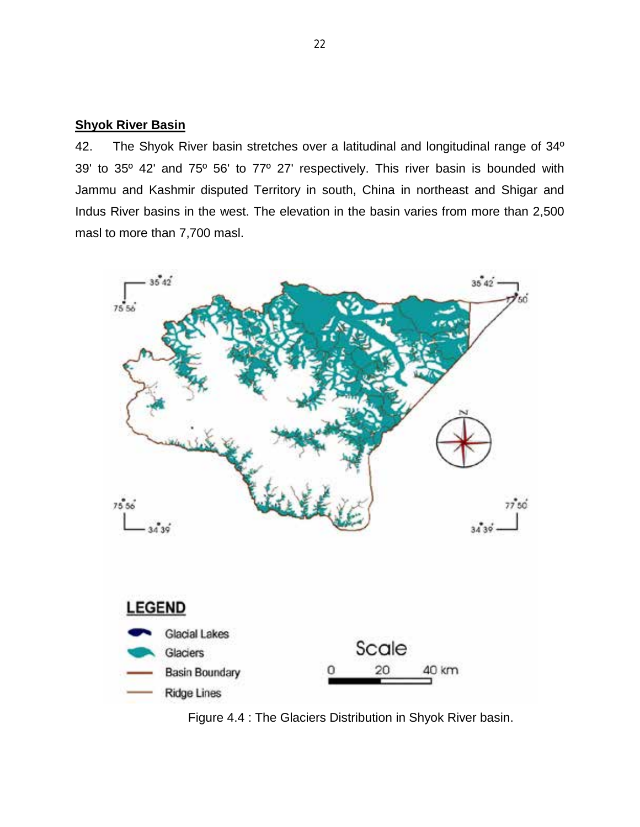#### **Shyok River Basin**

42. The Shyok River basin stretches over a latitudinal and longitudinal range of 34° 39' to 35º 42' and 75º 56' to 77º 27' respectively. This river basin is bounded with Jammu and Kashmir disputed Territory in south, China in northeast and Shigar and Indus River basins in the west. The elevation in the basin varies from more than 2,500 masl to more than 7,700 masl.



Figure 4.4 : The Glaciers Distribution in Shyok River basin.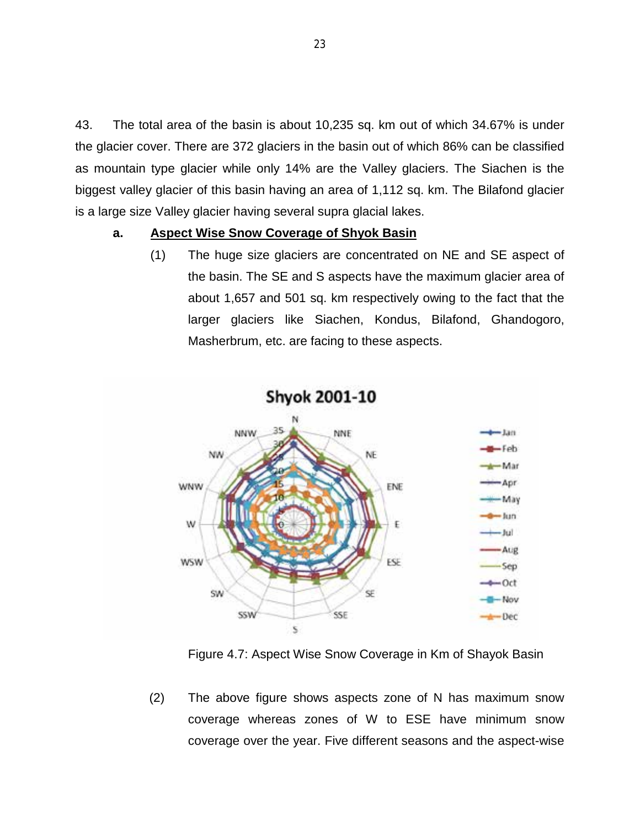43. The total area of the basin is about 10,235 sq. km out of which 34.67% is under the glacier cover. There are 372 glaciers in the basin out of which 86% can be classified as mountain type glacier while only 14% are the Valley glaciers. The Siachen is the biggest valley glacier of this basin having an area of 1,112 sq. km. The Bilafond glacier is a large size Valley glacier having several supra glacial lakes.

#### **a. Aspect Wise Snow Coverage of Shyok Basin**

(1) The huge size glaciers are concentrated on NE and SE aspect of the basin. The SE and S aspects have the maximum glacier area of about 1,657 and 501 sq. km respectively owing to the fact that the larger glaciers like Siachen, Kondus, Bilafond, Ghandogoro, Masherbrum, etc. are facing to these aspects.



Figure 4.7: Aspect Wise Snow Coverage in Km of Shayok Basin

(2) The above figure shows aspects zone of N has maximum snow coverage whereas zones of W to ESE have minimum snow coverage over the year. Five different seasons and the aspect-wise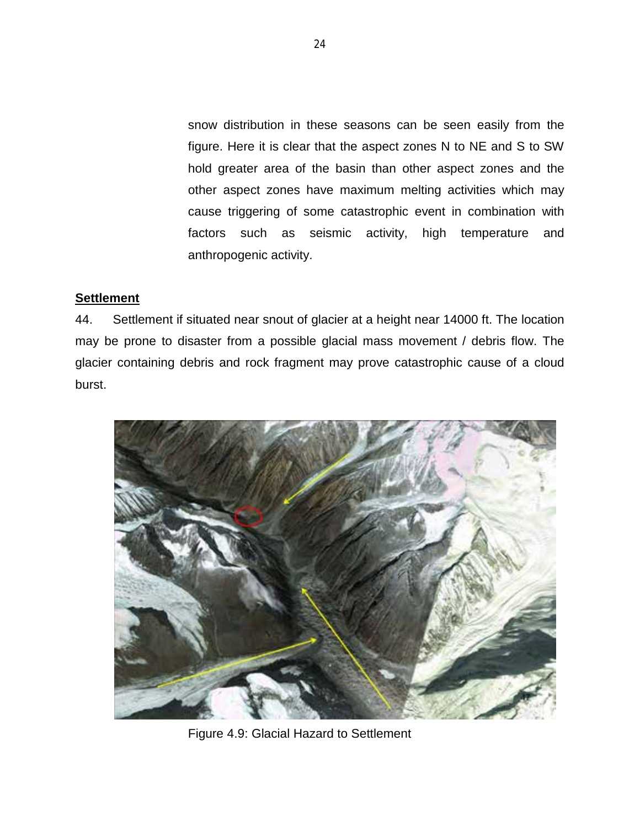snow distribution in these seasons can be seen easily from the figure. Here it is clear that the aspect zones N to NE and S to SW hold greater area of the basin than other aspect zones and the other aspect zones have maximum melting activities which may cause triggering of some catastrophic event in combination with factors such as seismic activity, high temperature and anthropogenic activity.

#### **Settlement**

44. Settlement if situated near snout of glacier at a height near 14000 ft. The location may be prone to disaster from a possible glacial mass movement / debris flow. The glacier containing debris and rock fragment may prove catastrophic cause of a cloud burst.



Figure 4.9: Glacial Hazard to Settlement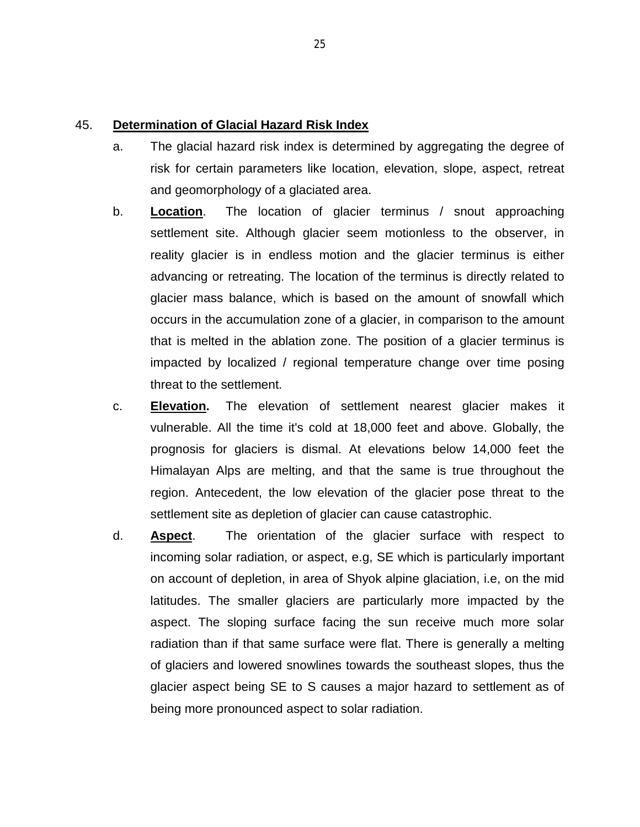#### 45. **Determination of Glacial Hazard Risk Index**

- a. The glacial hazard risk index is determined by aggregating the degree of risk for certain parameters like location, elevation, slope, aspect, retreat and geomorphology of a glaciated area.
- b. **Location**. The location of glacier terminus / snout approaching settlement site. Although glacier seem motionless to the observer, in reality glacier is in endless [motion](http://en.wikipedia.org/wiki/Glacier%23Glacial_motion) and the glacier terminus is either advancing or retreating. The location of the terminus is directly related to [glacier mass balance,](http://en.wikipedia.org/wiki/Glacier_mass_balance) which is based on the amount of snowfall which occurs in the [accumulation zone](http://en.wikipedia.org/wiki/Accumulation_zone) of a glacier, in comparison to the amount that is melted in the [ablation zone.](http://en.wikipedia.org/wiki/Ablation_zone) The position of a glacier terminus is impacted by localized / regional temperature change over time posing threat to the settlement.
- c. **Elevation.** The elevation of settlement nearest glacier makes it vulnerable. All the time it's cold at 18,000 feet and above. Globally, the prognosis for glaciers is dismal. At elevations below 14,000 feet the Himalayan Alps are melting, and that the same is true throughout the region. Antecedent, the low elevation of the glacier pose threat to the settlement site as depletion of glacier can cause catastrophic.
- d. **Aspect**. The orientation of the glacier surface with respect to incoming solar radiation, or aspect, e.g, SE which is particularly important on account of depletion, in area of Shyok alpine glaciation, i.e, on the mid latitudes. The smaller glaciers are particularly more impacted by the aspect. The sloping surface facing the sun receive much more solar radiation than if that same surface were flat. There is generally a melting of glaciers and lowered snowlines towards the southeast slopes, thus the glacier aspect being SE to S causes a major hazard to settlement as of being more pronounced aspect to solar radiation.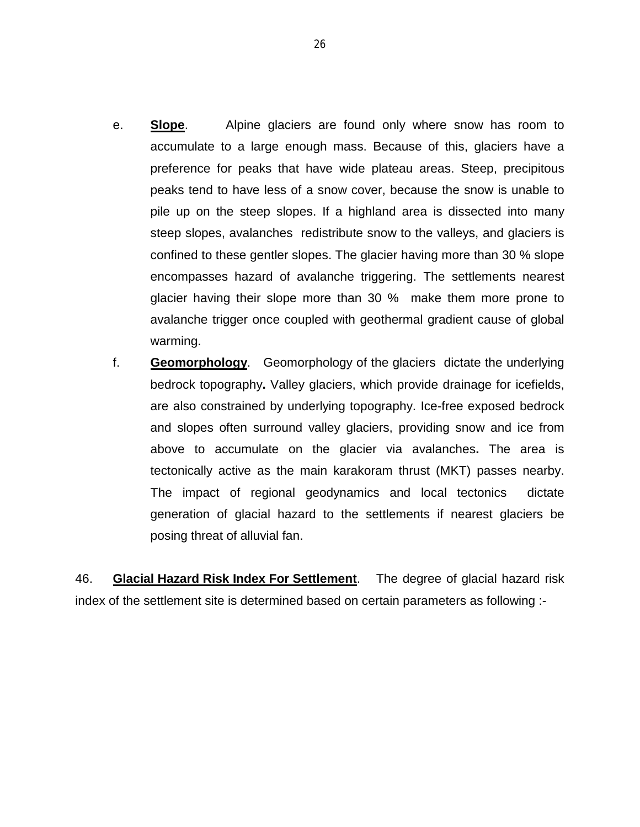- e. **Slope**. Alpine glaciers are found only where snow has room to accumulate to a large enough mass. Because of this, glaciers have a preference for peaks that have wide plateau areas. Steep, precipitous peaks tend to have less of a snow cover, because the snow is unable to pile up on the steep slopes. If a highland area is dissected into many steep slopes, avalanches redistribute snow to the valleys, and glaciers is confined to these gentler slopes. The glacier having more than 30 % slope encompasses hazard of avalanche triggering. The settlements nearest glacier having their slope more than 30 % make them more prone to avalanche trigger once coupled with geothermal gradient cause of global warming.
- f. **Geomorphology**. Geomorphology of the glaciers dictate the underlying [bedrock](http://en.wikipedia.org/wiki/Bedrock) [topography](http://en.wikipedia.org/wiki/Topography)**.** Valley glaciers, which provide drainage for icefields, are also constrained by underlying topography. Ice-free exposed bedrock and slopes often surround valley glaciers, providing snow and ice from above to accumulate on the glacier via [avalanches](http://en.wikipedia.org/wiki/Avalanche)**.** The area is tectonically active as the main karakoram thrust (MKT) passes nearby. The impact of regional geodynamics and local tectonics dictate generation of glacial hazard to the settlements if nearest glaciers be posing threat of alluvial fan.

46. **Glacial Hazard Risk Index For Settlement**. The degree of glacial hazard risk index of the settlement site is determined based on certain parameters as following :-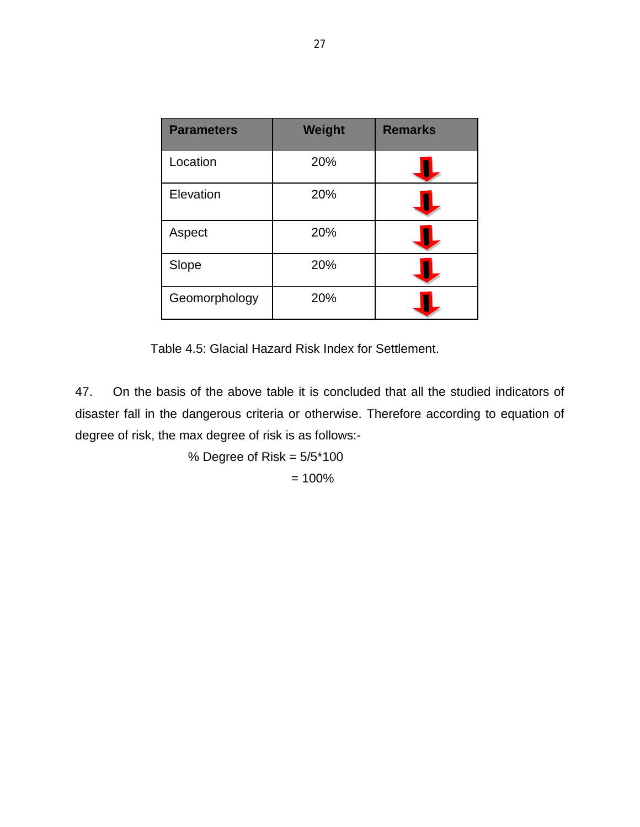| <b>Parameters</b> | <b>Weight</b> | <b>Remarks</b> |
|-------------------|---------------|----------------|
| Location          | 20%           |                |
| Elevation         | 20%           |                |
| Aspect            | 20%           |                |
| Slope             | 20%           |                |
| Geomorphology     | 20%           |                |

Table 4.5: Glacial Hazard Risk Index for Settlement.

47. On the basis of the above table it is concluded that all the studied indicators of disaster fall in the dangerous criteria or otherwise. Therefore according to equation of degree of risk, the max degree of risk is as follows:-

> % Degree of Risk =  $5/5*100$  $= 100%$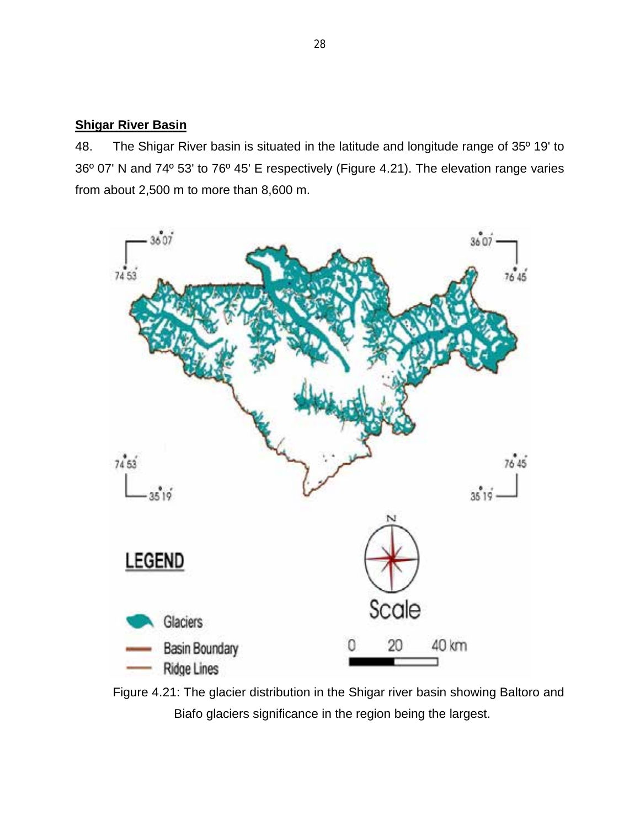#### **Shigar River Basin**

48. The Shigar River basin is situated in the latitude and longitude range of 35º 19' to 36º 07' N and 74º 53' to 76º 45' E respectively (Figure 4.21). The elevation range varies from about 2,500 m to more than 8,600 m.



Figure 4.21: The glacier distribution in the Shigar river basin showing Baltoro and Biafo glaciers significance in the region being the largest.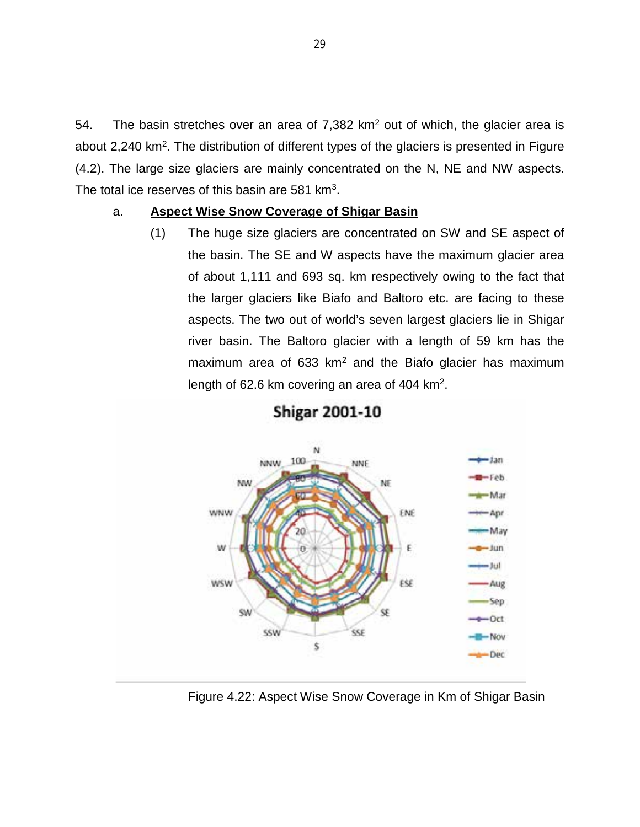54. The basin stretches over an area of  $7,382$  km<sup>2</sup> out of which, the glacier area is about 2,240 km<sup>2</sup>. The distribution of different types of the glaciers is presented in Figure (4.2). The large size glaciers are mainly concentrated on the N, NE and NW aspects. The total ice reserves of this basin are 581 km<sup>3</sup>.

#### a. **Aspect Wise Snow Coverage of Shigar Basin**

(1) The huge size glaciers are concentrated on SW and SE aspect of the basin. The SE and W aspects have the maximum glacier area of about 1,111 and 693 sq. km respectively owing to the fact that the larger glaciers like Biafo and Baltoro etc. are facing to these aspects. The two out of world's seven largest glaciers lie in Shigar river basin. The Baltoro glacier with a length of 59 km has the maximum area of  $633 \text{ km}^2$  and the Biafo glacier has maximum length of 62.6 km covering an area of 404 km2.



# **Shigar 2001-10**

Figure 4.22: Aspect Wise Snow Coverage in Km of Shigar Basin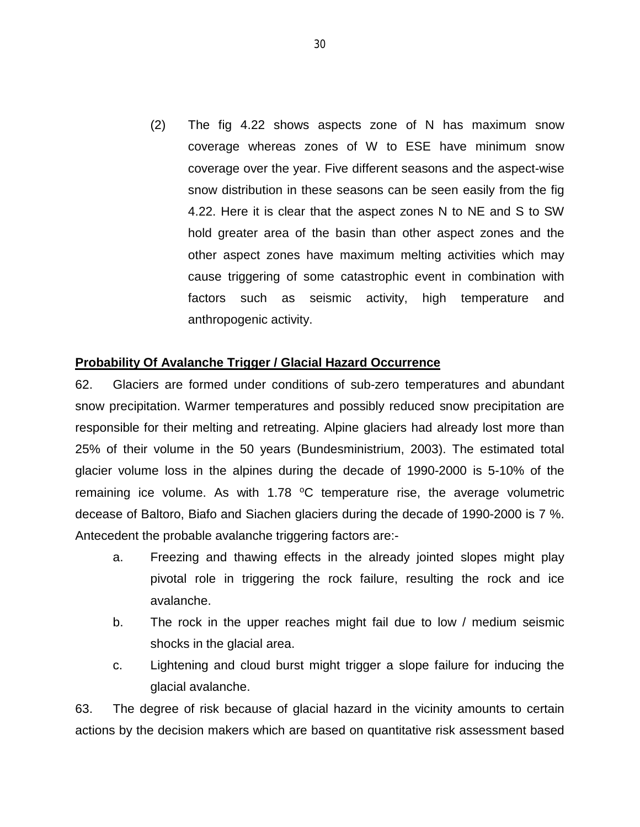(2) The fig 4.22 shows aspects zone of N has maximum snow coverage whereas zones of W to ESE have minimum snow coverage over the year. Five different seasons and the aspect-wise snow distribution in these seasons can be seen easily from the fig 4.22. Here it is clear that the aspect zones N to NE and S to SW hold greater area of the basin than other aspect zones and the other aspect zones have maximum melting activities which may cause triggering of some catastrophic event in combination with factors such as seismic activity, high temperature and anthropogenic activity.

#### **Probability Of Avalanche Trigger / Glacial Hazard Occurrence**

62. Glaciers are formed under conditions of sub-zero temperatures and abundant snow precipitation. Warmer temperatures and possibly reduced snow precipitation are responsible for their melting and retreating. Alpine glaciers had already lost more than 25% of their volume in the 50 years [\(Bundesministrium, 2003\).](http://alpsknowhow.cipra.org/background_topics/climate/climate_furtherreadings.html%23bmbf_2003) The estimated total glacier volume loss in the alpines during the decade of 1990-2000 is 5-10% of the remaining ice volume. As with  $1.78$  °C temperature rise, the average volumetric decease of Baltoro, Biafo and Siachen glaciers during the decade of 1990-2000 is 7 %. Antecedent the probable avalanche triggering factors are:-

- a. Freezing and thawing effects in the already jointed slopes might play pivotal role in triggering the rock failure, resulting the rock and ice avalanche.
- b. The rock in the upper reaches might fail due to low / medium seismic shocks in the glacial area.
- c. Lightening and cloud burst might trigger a slope failure for inducing the glacial avalanche.

63. The degree of risk because of glacial hazard in the vicinity amounts to certain actions by the decision makers which are based on quantitative risk assessment based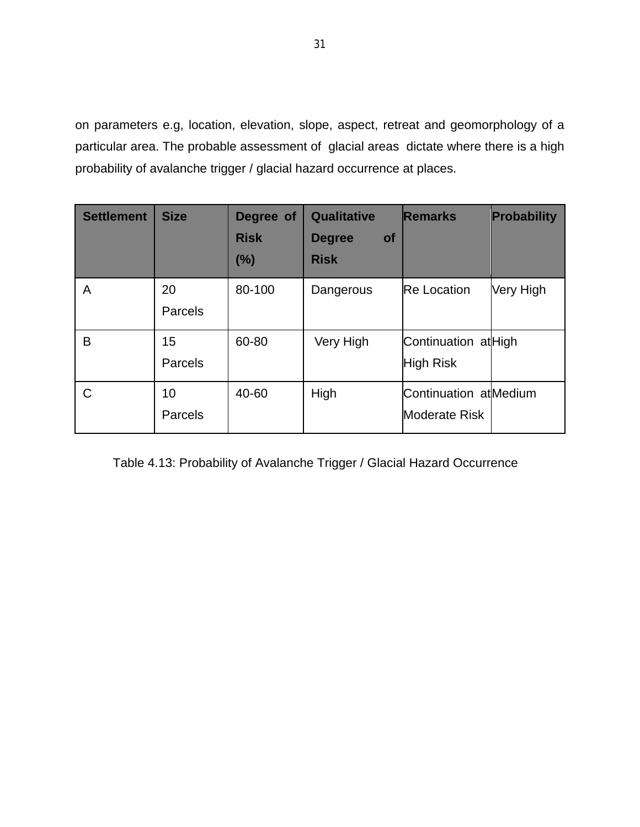on parameters e.g, location, elevation, slope, aspect, retreat and geomorphology of a particular area. The probable assessment of glacial areas dictate where there is a high probability of avalanche trigger / glacial hazard occurrence at places.

| <b>Settlement</b> | <b>Size</b>   | Degree of<br><b>Risk</b><br>(%) | Qualitative<br><b>Degree</b><br><b>of</b><br><b>Risk</b> | <b>Remarks</b>                          | <b>Probability</b> |
|-------------------|---------------|---------------------------------|----------------------------------------------------------|-----------------------------------------|--------------------|
| A                 | 20<br>Parcels | 80-100                          | Dangerous                                                | <b>Re Location</b>                      | Very High          |
| B                 | 15<br>Parcels | 60-80                           | Very High                                                | Continuation atHigh<br><b>High Risk</b> |                    |
| C                 | 10<br>Parcels | 40-60                           | High                                                     | Continuation atMedium<br>Moderate Risk  |                    |

Table 4.13: Probability of Avalanche Trigger / Glacial Hazard Occurrence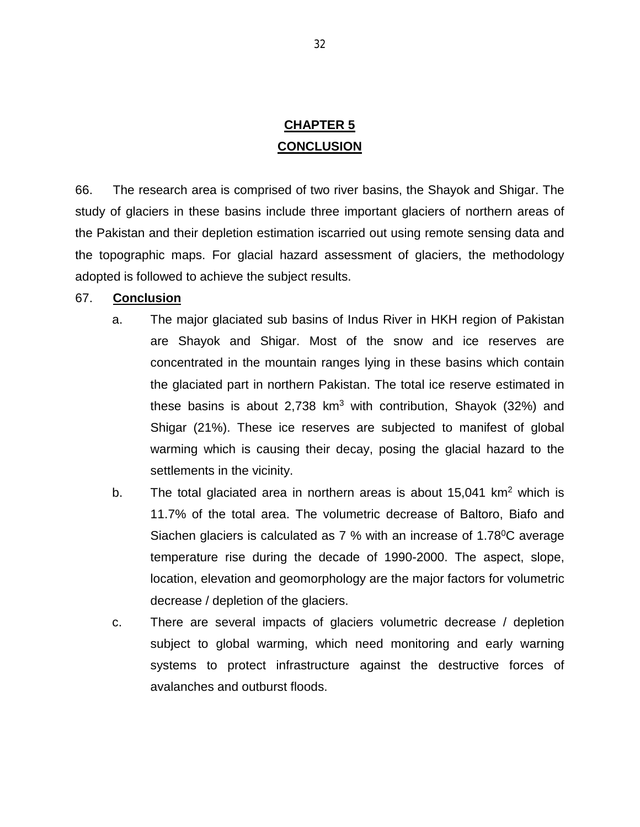### **CHAPTER 5 CONCLUSION**

66. The research area is comprised of two river basins, the Shayok and Shigar. The study of glaciers in these basins include three important glaciers of northern areas of the Pakistan and their depletion estimation iscarried out using remote sensing data and the topographic maps. For glacial hazard assessment of glaciers, the methodology adopted is followed to achieve the subject results.

#### 67. **Conclusion**

- a. The major glaciated sub basins of Indus River in HKH region of Pakistan are Shayok and Shigar. Most of the snow and ice reserves are concentrated in the mountain ranges lying in these basins which contain the glaciated part in northern Pakistan. The total ice reserve estimated in these basins is about 2,738  $km^3$  with contribution, Shayok (32%) and Shigar (21%). These ice reserves are subjected to manifest of global warming which is causing their decay, posing the glacial hazard to the settlements in the vicinity.
- b. The total glaciated area in northern areas is about  $15,041$  km<sup>2</sup> which is 11.7% of the total area. The volumetric decrease of Baltoro, Biafo and Siachen glaciers is calculated as  $7\%$  with an increase of 1.78 $\mathrm{^0C}$  average temperature rise during the decade of 1990-2000. The aspect, slope, location, elevation and geomorphology are the major factors for volumetric decrease / depletion of the glaciers.
- c. There are several impacts of glaciers volumetric decrease / depletion subject to global warming, which need monitoring and early warning systems to protect infrastructure against the destructive forces of avalanches and outburst floods.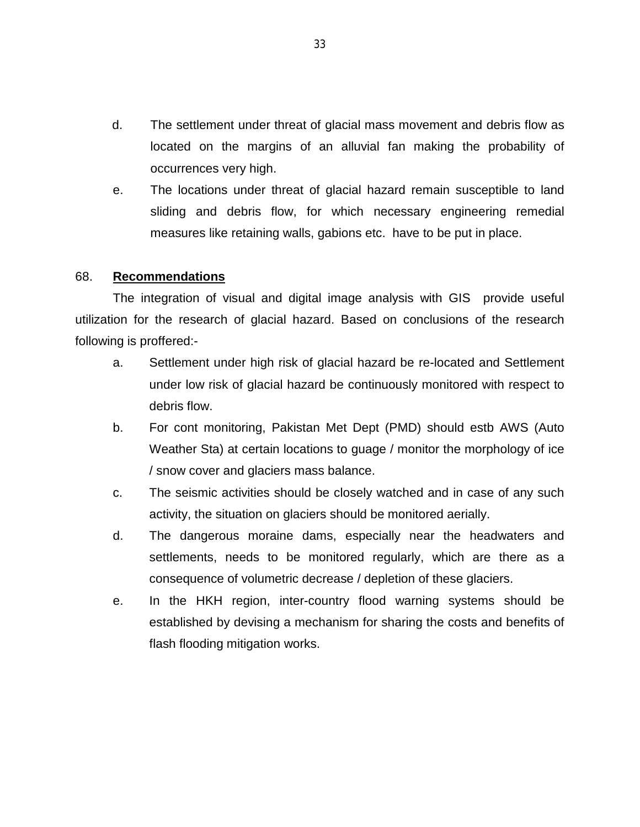- d. The settlement under threat of glacial mass movement and debris flow as located on the margins of an alluvial fan making the probability of occurrences very high.
- e. The locations under threat of glacial hazard remain susceptible to land sliding and debris flow, for which necessary engineering remedial measures like retaining walls, gabions etc. have to be put in place.

#### 68. **Recommendations**

The integration of visual and digital image analysis with GIS provide useful utilization for the research of glacial hazard. Based on conclusions of the research following is proffered:-

- a. Settlement under high risk of glacial hazard be re-located and Settlement under low risk of glacial hazard be continuously monitored with respect to debris flow.
- b. For cont monitoring, Pakistan Met Dept (PMD) should estb AWS (Auto Weather Sta) at certain locations to guage / monitor the morphology of ice / snow cover and glaciers mass balance.
- c. The seismic activities should be closely watched and in case of any such activity, the situation on glaciers should be monitored aerially.
- d. The dangerous moraine dams, especially near the headwaters and settlements, needs to be monitored regularly, which are there as a consequence of volumetric decrease / depletion of these glaciers.
- e. In the HKH region, inter-country flood warning systems should be established by devising a mechanism for sharing the costs and benefits of flash flooding mitigation works.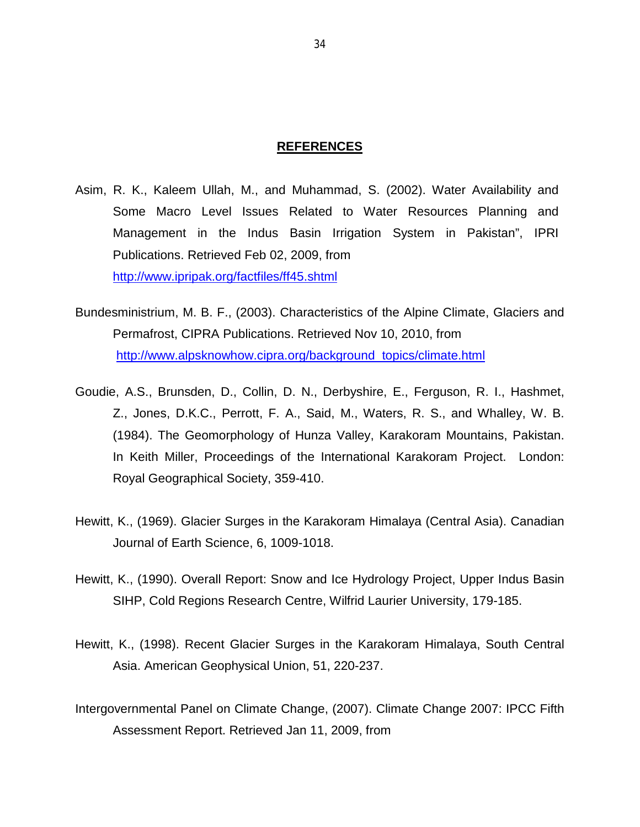#### **REFERENCES**

- Asim, R. K., Kaleem Ullah, M., and Muhammad, S. (2002). Water Availability and Some Macro Level Issues Related to Water Resources Planning and Management in the Indus Basin Irrigation System in Pakistan", IPRI Publications. Retrieved Feb 02, 2009, from <http://www.ipripak.org/factfiles/ff45.shtml>
- [Bundesministrium, M. B. F.,](http://alpsknowhow.cipra.org/background_topics/climate/climate_furtherreadings.html%23bmbf_2003) (2003). Characteristics of the Alpine Climate, Glaciers and Permafrost, CIPRA Publications. Retrieved Nov 10, 2010, from [http://www.alpsknowhow.cipra.org/background\\_topics/climate.html](http://www.alpsknowhow.cipra.org/background_topics/climate.html)
- Goudie, A.S., Brunsden, D., Collin, D. N., Derbyshire, E., Ferguson, R. I., Hashmet, Z., Jones, D.K.C., Perrott, F. A., Said, M., Waters, R. S., and Whalley, W. B. (1984). The Geomorphology of Hunza Valley, Karakoram Mountains, Pakistan. In Keith Miller, Proceedings of the International Karakoram Project. London: Royal Geographical Society, 359-410.
- Hewitt, K., (1969). Glacier Surges in the Karakoram Himalaya (Central Asia). Canadian Journal of Earth Science, 6, 1009-1018.
- Hewitt, K., (1990). Overall Report: Snow and Ice Hydrology Project, Upper Indus Basin SIHP, Cold Regions Research Centre, Wilfrid Laurier University, 179-185.
- Hewitt, K., (1998). Recent Glacier Surges in the Karakoram Himalaya, South Central Asia. American Geophysical Union, 51, 220-237.
- Intergovernmental Panel on Climate Change, (2007). Climate Change 2007: IPCC Fifth Assessment Report. Retrieved Jan 11, 2009, from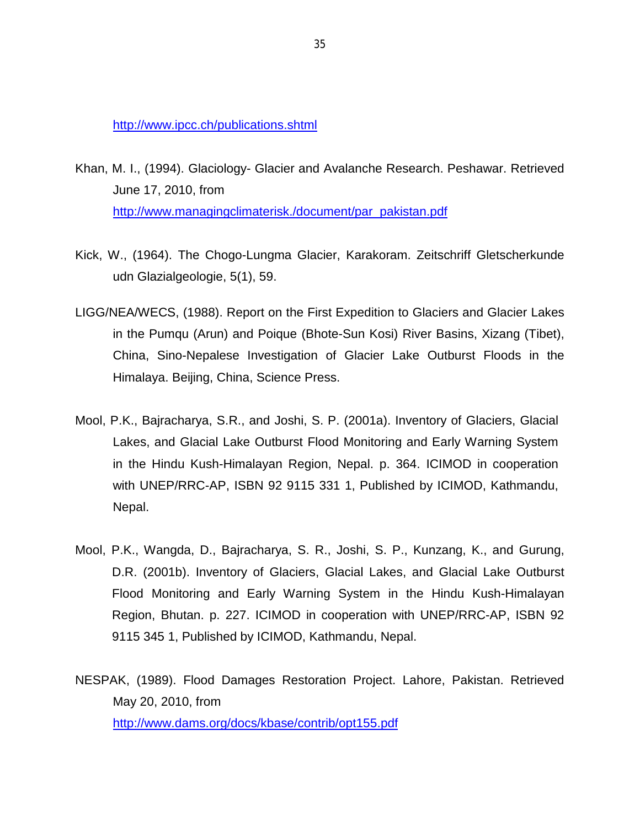<http://www.ipcc.ch/publications.shtml>

- Khan, M. I., (1994). Glaciology- Glacier and Avalanche Research. Peshawar. Retrieved June 17, 2010, from [http://www.managingclimaterisk./document/par\\_pakistan.p](http://www.managingclimaterisk./document/par_pakistan.)df
- Kick, W., (1964). The Chogo-Lungma Glacier, Karakoram. Zeitschriff Gletscherkunde udn Glazialgeologie, 5(1), 59.
- LIGG/NEA/WECS, (1988). Report on the First Expedition to Glaciers and Glacier Lakes in the Pumqu (Arun) and Poique (Bhote-Sun Kosi) River Basins, Xizang (Tibet), China, Sino-Nepalese Investigation of Glacier Lake Outburst Floods in the Himalaya. Beijing, China, Science Press.
- Mool, P.K., Bajracharya, S.R., and Joshi, S. P. (2001a). Inventory of Glaciers, Glacial Lakes, and Glacial Lake Outburst Flood Monitoring and Early Warning System in the Hindu Kush-Himalayan Region, Nepal. p. 364. ICIMOD in cooperation with UNEP/RRC-AP, ISBN 92 9115 331 1, Published by ICIMOD, Kathmandu, Nepal.
- Mool, P.K., Wangda, D., Bajracharya, S. R., Joshi, S. P., Kunzang, K., and Gurung, D.R. (2001b). Inventory of Glaciers, Glacial Lakes, and Glacial Lake Outburst Flood Monitoring and Early Warning System in the Hindu Kush-Himalayan Region, Bhutan. p. 227. ICIMOD in cooperation with UNEP/RRC-AP, ISBN 92 9115 345 1, Published by ICIMOD, Kathmandu, Nepal.

NESPAK, (1989). Flood Damages Restoration Project. Lahore, Pakistan. Retrieved May 20, 2010, from <http://www.dams.org/docs/kbase/contrib/opt155.pdf>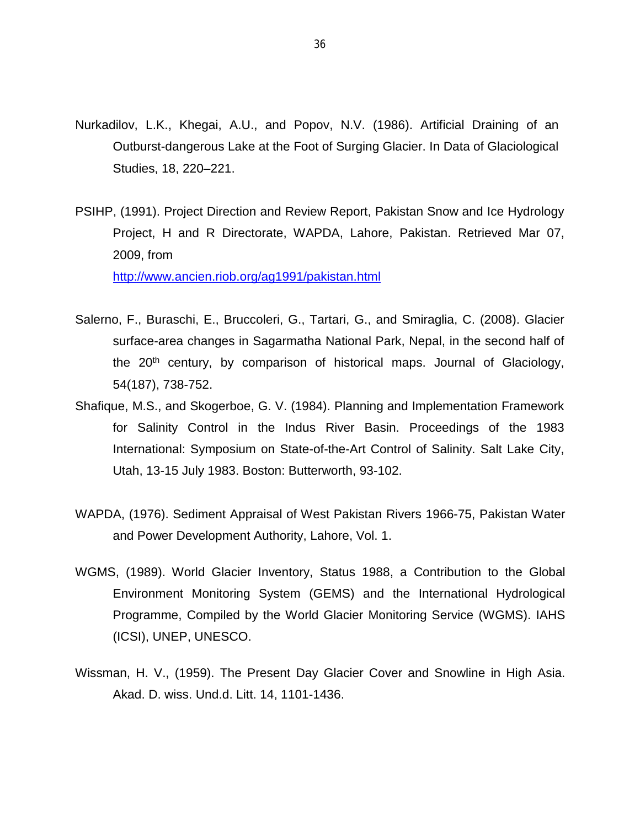- Nurkadilov, L.K., Khegai, A.U., and Popov, N.V. (1986). Artificial Draining of an Outburst-dangerous Lake at the Foot of Surging Glacier. In Data of Glaciological Studies, 18, 220–221.
- PSIHP, (1991). Project Direction and Review Report, Pakistan Snow and Ice Hydrology Project, H and R Directorate, WAPDA, Lahore, Pakistan. Retrieved Mar 07, 2009, from [http://www.ancien.riob.org/ag1991/pakistan.h](http://www.ancien.riob.org/ag1991/pakistan.)tml
- Salerno, F., Buraschi, E., Bruccoleri, G., Tartari, G., and Smiraglia, C. (2008). Glacier surface-area changes in Sagarmatha National Park, Nepal, in the second half of the  $20<sup>th</sup>$  century, by comparison of historical maps. Journal of Glaciology, 54(187), 738-752.
- Shafique, M.S., and Skogerboe, G. V. (1984). Planning and Implementation Framework for Salinity Control in the Indus River Basin. Proceedings of the 1983 International: Symposium on State-of-the-Art Control of Salinity. Salt Lake City, Utah, 13-15 July 1983. Boston: Butterworth, 93-102.
- WAPDA, (1976). Sediment Appraisal of West Pakistan Rivers 1966-75, Pakistan Water and Power Development Authority, Lahore, Vol. 1.
- WGMS, (1989). World Glacier Inventory, Status 1988, a Contribution to the Global Environment Monitoring System (GEMS) and the International Hydrological Programme, Compiled by the World Glacier Monitoring Service (WGMS). IAHS (ICSI), UNEP, UNESCO.
- Wissman, H. V., (1959). The Present Day Glacier Cover and Snowline in High Asia. Akad. D. wiss. Und.d. Litt. 14, 1101-1436.